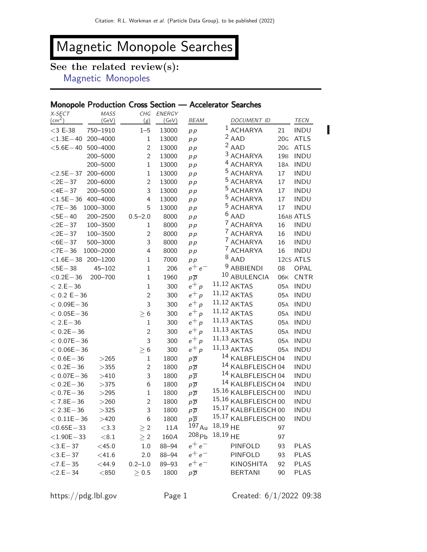# Magnetic Monopole Searches

## See the related review(s):

[Magnetic Monopoles](http://pdg.lbl.gov/2022/reviews/rpp2021-rev-mag-monopole-searches.pdf)

#### Monopole Production Cross Section — Accelerator Searches

| $\left(\text{cm}^2\right)$<br>TECN<br>$1$ ACHARYA<br>$<$ 3 E-38<br>$1 - 5$<br>21<br><b>INDU</b><br>750-1910<br>13000<br>p p<br>$2$ AAD<br>$<$ 1.3E $-$ 40<br>20G<br><b>ATLS</b><br>200-4000<br>$\mathbf{1}$<br>13000<br>p p |                 | <b>MASS</b> | CHG         | ENERGY |      |             |     |      |
|-----------------------------------------------------------------------------------------------------------------------------------------------------------------------------------------------------------------------------|-----------------|-------------|-------------|--------|------|-------------|-----|------|
|                                                                                                                                                                                                                             |                 | (GeV)       | (g)         | (GeV)  | BEAM | DOCUMENT ID |     |      |
|                                                                                                                                                                                                                             |                 |             |             |        |      |             |     |      |
|                                                                                                                                                                                                                             |                 |             |             |        |      |             |     |      |
|                                                                                                                                                                                                                             | $<$ 5.6E $-$ 40 | 500-4000    | $\mathbf 2$ | 13000  | p p  | $2$ AAD     | 20G | ATLS |
| <sup>3</sup> ACHARYA<br>$\overline{c}$<br>19 <sub>B</sub><br><b>INDU</b><br>200-5000<br>13000<br>p p                                                                                                                        |                 |             |             |        |      |             |     |      |
| <sup>4</sup> ACHARYA<br>$\mathbf{1}$<br>18A<br><b>INDU</b><br>200-5000<br>13000<br>p p                                                                                                                                      |                 |             |             |        |      |             |     |      |
| <sup>5</sup> ACHARYA<br>$\mathbf{1}$<br><b>INDU</b><br>$<$ 2.5E $-$ 37<br>200-6000<br>13000<br>17<br>p p                                                                                                                    |                 |             |             |        |      |             |     |      |
| <sup>5</sup> ACHARYA<br>$\overline{c}$<br><b>INDU</b><br>$<$ 2E $-$ 37<br>200-6000<br>13000<br>17<br>p p                                                                                                                    |                 |             |             |        |      |             |     |      |
| <sup>5</sup> ACHARYA<br>3<br><b>INDU</b><br>$<$ 4E $-$ 37<br>200-5000<br>13000<br>17<br>p p                                                                                                                                 |                 |             |             |        |      |             |     |      |
| <sup>5</sup> ACHARYA<br><b>INDU</b><br>$<$ 1.5E $-$ 36<br>400-4000<br>4<br>13000<br>17<br>p p                                                                                                                               |                 |             |             |        |      |             |     |      |
| <sup>5</sup> ACHARYA<br>$<$ 7E $-36$<br>1000-3000<br>5<br>13000<br>17<br><b>INDU</b><br>p p                                                                                                                                 |                 |             |             |        |      |             |     |      |
| $6$ AAD<br>16AB ATLS<br>$<$ 5E $-$ 40<br>200-2500<br>$0.5 - 2.0$<br>8000<br>p p                                                                                                                                             |                 |             |             |        |      |             |     |      |
| <sup>7</sup> ACHARYA<br>100-3500<br><b>INDU</b><br>$<$ 2E $-$ 37<br>8000<br>16<br>1<br>p p                                                                                                                                  |                 |             |             |        |      |             |     |      |
| <sup>7</sup> ACHARYA<br>$<$ 2E $-$ 37<br>100-3500<br>16<br><b>INDU</b><br>$\overline{c}$<br>8000<br>p p                                                                                                                     |                 |             |             |        |      |             |     |      |
| <sup>7</sup> ACHARYA<br>3<br><b>INDU</b><br>$<$ 6E $-$ 37<br>500-3000<br>8000<br>16<br>p p                                                                                                                                  |                 |             |             |        |      |             |     |      |
| <sup>7</sup> ACHARYA<br>$<$ 7E $-36$<br>1000-2000<br>4<br>8000<br>16<br><b>INDU</b><br>p p                                                                                                                                  |                 |             |             |        |      |             |     |      |
| $8$ AAD<br>12cs ATLS<br>$<$ 1.6E-38 200-1200<br>$\mathbf{1}$<br>7000<br>p p                                                                                                                                                 |                 |             |             |        |      |             |     |      |
| <sup>9</sup> ABBIENDI<br>$e^+e^-$<br>$<$ 5E $-$ 38<br>$\mathbf 1$<br>206<br>08<br>OPAL<br>$45 - 102$                                                                                                                        |                 |             |             |        |      |             |     |      |
| 10 ABULENCIA<br>$<$ 0.2E $-$ 36<br>$\mathbf 1$<br><b>CNTR</b><br>200-700<br>1960<br>06K<br>$p\overline{p}$                                                                                                                  |                 |             |             |        |      |             |     |      |
| $11,12$ AKTAS<br>$e^+ p$<br><b>INDU</b><br>$< 2.E - 36$<br>$\mathbf{1}$<br>300<br>05A                                                                                                                                       |                 |             |             |        |      |             |     |      |
| $11,12$ AKTAS<br>$e^+ p$<br>$< 0.2 E - 36$<br>$\mathbf 2$<br><b>INDU</b><br>300<br>05A                                                                                                                                      |                 |             |             |        |      |             |     |      |
| $11,12$ AKTAS<br>$e^+ p$<br>3<br>$< 0.09E - 36$<br>300<br>05A<br><b>INDU</b>                                                                                                                                                |                 |             |             |        |      |             |     |      |
| $11,12$ AKTAS<br>$e^+ p$<br>$\geq 6$<br>300<br><b>INDU</b><br>$< 0.05E - 36$<br>05A                                                                                                                                         |                 |             |             |        |      |             |     |      |
| $11,13$ AKTAS<br>$e^+ p$<br>$< 2.E - 36$<br><b>INDU</b><br>$\mathbf{1}$<br>300<br>05A                                                                                                                                       |                 |             |             |        |      |             |     |      |
| $11,13$ AKTAS<br>$e^+ p$<br>$< 0.2E - 36$<br>$\overline{2}$<br><b>INDU</b><br>300<br>05A                                                                                                                                    |                 |             |             |        |      |             |     |      |
| $11,13$ AKTAS<br>$e^+ p$<br>3<br>$< 0.07E - 36$<br><b>INDU</b><br>300<br>05A                                                                                                                                                |                 |             |             |        |      |             |     |      |
| $11,13$ AKTAS<br>$e^+ p$<br>$< 0.06E - 36$<br><b>INDU</b><br>$\geq 6$<br>300<br>05A                                                                                                                                         |                 |             |             |        |      |             |     |      |
| 14 KALBFLEISCH 04<br>$< 0.6E - 36$<br><b>INDU</b><br>1800<br>>265<br>1<br>$p\overline{p}$                                                                                                                                   |                 |             |             |        |      |             |     |      |
| 14 KALBFLEISCH 04<br><b>INDU</b><br>$< 0.2E - 36$<br>>355<br>$\mathbf 2$<br>1800<br>$p\overline{p}$                                                                                                                         |                 |             |             |        |      |             |     |      |
| 14 KALBFLEISCH 04<br>3<br><b>INDU</b><br>$< 0.07E - 36$<br>>410<br>1800<br>$p\overline{p}$                                                                                                                                  |                 |             |             |        |      |             |     |      |
| 14 KALBFLEISCH 04<br><b>INDU</b><br>$< 0.2E - 36$<br>>375<br>6<br>1800<br>$p\overline{p}$                                                                                                                                   |                 |             |             |        |      |             |     |      |
| 15,16 KALBFLEISCH 00<br><b>INDU</b><br>$< 0.7E - 36$<br>>295<br>$\mathbf{1}$<br>1800<br>$p\overline{p}$                                                                                                                     |                 |             |             |        |      |             |     |      |
| 15,16 KALBFLEISCH 00<br><b>INDU</b><br>$< 7.8E - 36$<br>$\overline{c}$<br>1800<br>>260<br>$p\overline{p}$                                                                                                                   |                 |             |             |        |      |             |     |      |
| 15,17 KALBFLEISCH 00<br>3<br><b>INDU</b><br>$< 2.3E - 36$<br>>325<br>1800<br>$p\overline{p}$                                                                                                                                |                 |             |             |        |      |             |     |      |
| 15,17 KALBFLEISCH 00<br>$< 0.11E - 36$<br>>420<br>6<br>1800<br><b>INDU</b><br>$p\overline{p}$                                                                                                                               |                 |             |             |        |      |             |     |      |
| $197_{\text{Au}}$ 18,19 HE<br>11A<br>$<$ 0.65E $-$ 33<br>< 3.3<br>$\geq 2$<br>97                                                                                                                                            |                 |             |             |        |      |             |     |      |
| $18,19$ HE<br>208P <sub>b</sub><br>160A<br>97<br>$<$ 1.90E $-$ 33<br>$<\!8.1$<br>$\geq 2$                                                                                                                                   |                 |             |             |        |      |             |     |      |
| $e^+e^-$<br>88-94<br>PINFOLD<br>$<$ 3.E $-$ 37<br>$<$ 45.0<br>$1.0\,$<br>93<br><b>PLAS</b>                                                                                                                                  |                 |             |             |        |      |             |     |      |
| $e^+e^-$<br>88-94<br>PINFOLD<br>$<$ 3.E $-$ 37<br>$<$ 41.6<br>2.0<br>93<br><b>PLAS</b>                                                                                                                                      |                 |             |             |        |      |             |     |      |
| $e^+e^-$<br>$0.2 - 1.0$<br>89-93<br><b>KINOSHITA</b><br><b>PLAS</b><br>$< 7.E - 35$<br>$<$ 44.9<br>92                                                                                                                       |                 |             |             |        |      |             |     |      |
| $<$ 2.E $-$ 34<br>90<br><b>PLAS</b><br>$<\!\!850$<br>$\geq 0.5$<br>1800<br><b>BERTANI</b><br>$p\overline{p}$                                                                                                                |                 |             |             |        |      |             |     |      |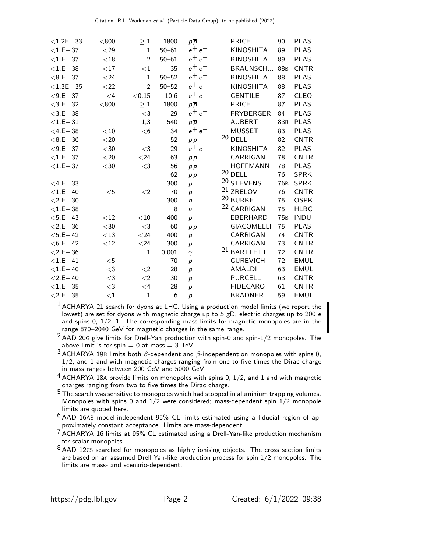| $<$ 1.2E $-$ 33 | < 800    | $\geq 1$       | 1800      | $p\overline{p}$  | <b>PRICE</b><br>90           | <b>PLAS</b>                    |
|-----------------|----------|----------------|-----------|------------------|------------------------------|--------------------------------|
| $<$ 1.E $-37$   | $<$ 29   | $\mathbf{1}$   | $50 - 61$ | $e^+e^-$         | <b>KINOSHITA</b><br>89       | <b>PLAS</b>                    |
| $<$ 1.E $-37$   | $<$ 18   | $\overline{2}$ | $50 - 61$ | $e^+e^-$         | <b>KINOSHITA</b><br>89       | <b>PLAS</b>                    |
| $<$ 1.E $-38$   | ${<}17$  | $<$ 1          | 35        | $e^+e^-$         | BRAUNSCH<br>88 <sub>B</sub>  | <b>CNTR</b>                    |
| $< 8.E - 37$    | < 24     | $\mathbf{1}$   | $50 - 52$ | $e^+e^-$         | <b>KINOSHITA</b><br>88       | <b>PLAS</b>                    |
| $<$ 1.3E $-$ 35 | $<$ 22   | $\overline{2}$ | $50 - 52$ | $e^+e^-$         | <b>KINOSHITA</b><br>88       | <b>PLAS</b>                    |
| $< 9.E - 37$    | $\leq 4$ | < 0.15         | 10.6      | $e^+e^-$         | <b>GENTILE</b><br>87         | <b>CLEO</b>                    |
| $<$ 3.E $-$ 32  | < 800    | $\geq 1$       | 1800      | $p\overline{p}$  | <b>PRICE</b><br>87           | <b>PLAS</b>                    |
| $<$ 3.E $-38$   |          | $<$ 3          | 29        | $e^+e^-$         | <b>FRYBERGER</b><br>84       | <b>PLAS</b>                    |
| $< 1.E-31$      |          | 1,3            | 540       | $p\overline{p}$  | <b>AUBERT</b>                | <b>PLAS</b><br>83B             |
| $<$ 4.E $-$ 38  | $<$ 10   | $<$ 6          | 34        | $e^+e^-$         | <b>MUSSET</b><br>83          | <b>PLAS</b>                    |
| $< 8.E - 36$    | $<$ 20   |                | 52        | p p              | $20$ DELL<br>82              | <b>CNTR</b>                    |
| $< 9.E - 37$    | $<$ 30   | $\leq$ 3       | 29        | $e^+e^-$         | <b>KINOSHITA</b><br>82       | <b>PLAS</b>                    |
| $<$ 1.E $-37$   | $<$ 20   | $<$ 24         | 63        | p p              | CARRIGAN<br>78               | <b>CNTR</b>                    |
| $<$ 1.E $-37$   | $<$ 30   | $<$ 3          | 56        | p p              | <b>HOFFMANN</b><br>78        | <b>PLAS</b>                    |
|                 |          |                | 62        | p p              | $20$ DELL<br>76              | <b>SPRK</b>                    |
| $<$ 4.E $-$ 33  |          |                | 300       | $\boldsymbol{p}$ | 20 STEVENS                   | 76 <sub>B</sub><br><b>SPRK</b> |
| $<$ 1.E $-$ 40  | $<$ 5    | $<$ 2          | 70        | $\boldsymbol{p}$ | <sup>21</sup> ZRELOV<br>76   | <b>CNTR</b>                    |
| $< 2.E - 30$    |          |                | 300       | $\mathsf{n}$     | 20 BURKE<br>75               | <b>OSPK</b>                    |
| $<$ 1.E $-38$   |          |                | 8         | $\nu$            | <sup>22</sup> CARRIGAN<br>75 | <b>HLBC</b>                    |
| $<$ 5.E $-$ 43  | $<$ 12   | $<$ 10         | 400       | $\boldsymbol{p}$ | EBERHARD<br><b>75B</b>       | <b>INDU</b>                    |
| $<$ 2.E $-$ 36  | $<$ 30   | $<$ 3          | 60        | p p              | <b>GIACOMELLI</b><br>75      | <b>PLAS</b>                    |
| $<$ 5.E $-$ 42  | $<$ 13   | $<$ 24         | 400       | $\boldsymbol{p}$ | CARRIGAN<br>74               | <b>CNTR</b>                    |
| $<$ 6.E $-$ 42  | $<$ 12   | $<$ 24         | 300       | $\boldsymbol{p}$ | CARRIGAN<br>73               | <b>CNTR</b>                    |
| $< 2.E - 36$    |          | $\mathbf{1}$   | 0.001     | $\gamma$         | <sup>21</sup> BARTLETT<br>72 | <b>CNTR</b>                    |
| $<$ 1.E-41      | $<$ 5    |                | 70        | $\overline{p}$   | <b>GUREVICH</b><br>72        | <b>EMUL</b>                    |
| $<$ 1.E $-$ 40  | $<$ 3    | $<$ 2          | 28        | p                | <b>AMALDI</b><br>63          | <b>EMUL</b>                    |
| $< 2.E - 40$    | $<$ 3    | $<$ 2          | 30        | $\boldsymbol{p}$ | <b>PURCELL</b><br>63         | <b>CNTR</b>                    |
| $<$ 1.E $-35$   | $<$ 3    | $\leq 4$       | 28        | $\boldsymbol{p}$ | <b>FIDECARO</b><br>61        | <b>CNTR</b>                    |
| $< 2.E - 35$    | $<$ 1    | $\mathbf{1}$   | 6         | $\boldsymbol{p}$ | <b>BRADNER</b><br>59         | <b>EMUL</b>                    |

<sup>1</sup> ACHARYA 21 search for dyons at LHC. Using a production model limits (we report the lowest) are set for dyons with magnetic charge up to 5 gD, electric charges up to 200 e and spins  $0, 1/2, 1$ . The corresponding mass limits for magnetic monopoles are in the range 870-2040 GeV for magnetic charges in the same range.

 $2$  AAD 20G give limits for Drell-Yan production with spin-0 and spin- $1/2$  monopoles. The above limit is for spin =  $0$  at mass =  $3$  TeV.

 $3$  ACHARYA 19B limits both  $\beta$ -dependent and  $\beta$ -independent on monopoles with spins 0,  $1/2$ , and 1 and with magnetic charges ranging from one to five times the Dirac charge in mass ranges between 200 GeV and 5000 GeV.

 $4$  ACHARYA 18A provide limits on monopoles with spins 0, 1/2, and 1 and with magnetic charges ranging from two to five times the Dirac charge.

 $5$  The search was sensitive to monopoles which had stopped in aluminium trapping volumes. Monopoles with spins 0 and  $1/2$  were considered; mass-dependent spin  $1/2$  monopole limits are quoted here.

 $6$  AAD 16AB model-independent 95% CL limits estimated using a fiducial region of approximately constant acceptance. Limits are mass-dependent.

<sup>7</sup> ACHARYA 16 limits at 95% CL estimated using a Drell-Yan-like production mechanism for scalar monopoles.

 $8$ AAD 12CS searched for monopoles as highly ionising objects. The cross section limits are based on an assumed Drell Yan-like production process for spin  $1/2$  monopoles. The limits are mass- and scenario-dependent.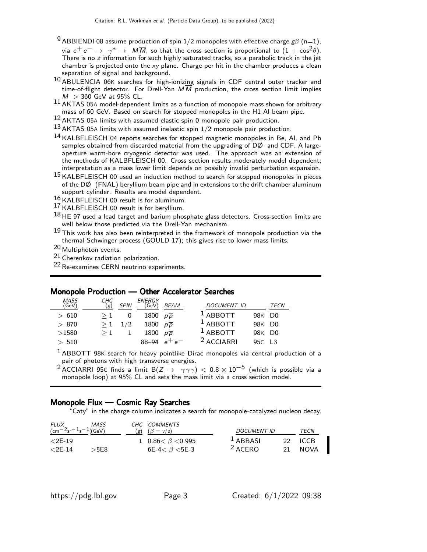- <sup>9</sup> ABBIENDI 08 assume production of spin 1/2 monopoles with effective charge  $g\beta$  (n=1), via  $e^+ \, e^- \, \rightarrow \, \ \gamma^* \, \rightarrow \, \ M \overline M,$  so that the cross section is proportional to  $(1 \, + \, \cos^2 \theta).$ There is no z information for such highly saturated tracks, so a parabolic track in the jet chamber is projected onto the xy plane. Charge per hit in the chamber produces a clean separation of signal and background.
- 10 ABULENCIA 06<sup>K</sup> searches for high-ionizing signals in CDF central outer tracker and time-of-flight detector. For Drell-Yan  $M\overline{M}$  production, the cross section limit implies  $M > 360$  GeV at 95% CL.
- $11$  AKTAS 05A model-dependent limits as a function of monopole mass shown for arbitrary mass of 60 GeV. Based on search for stopped monopoles in the H1 Al beam pipe.
- 12 AKTAS 05<sup>A</sup> limits with assumed elastic spin 0 monopole pair production.
- $13$  AKTAS 05A limits with assumed inelastic spin  $1/2$  monopole pair production.
- 14 KALBFLEISCH 04 reports searches for stopped magnetic monopoles in Be, Al, and Pb samples obtained from discarded material from the upgrading of DØ and CDF. A largeaperture warm-bore cryogenic detector was used. The approach was an extension of the methods of KALBFLEISCH 00. Cross section results moderately model dependent; interpretation as a mass lower limit depends on possibly invalid perturbation expansion.
- 15 KALBFLEISCH 00 used an induction method to search for stopped monopoles in pieces of the DØ (FNAL) beryllium beam pipe and in extensions to the drift chamber aluminum support cylinder. Results are model dependent.
- 16 KALBFLEISCH 00 result is for aluminum.
- 17 KALBFLEISCH 00 result is for beryllium.
- $18$  HE 97 used a lead target and barium phosphate glass detectors. Cross-section limits are well below those predicted via the Drell-Yan mechanism.
- $19$  This work has also been reinterpreted in the framework of monopole production via the thermal Schwinger process (GOULD 17); this gives rise to lower mass limits.
- 20 Multiphoton events.
- $21$  Cherenkov radiation polarization.

22Re-examines CERN neutrino experiments.

#### Monopole Production — Other Accelerator Searches

| <b>MASS</b><br>(GeV) | CHG<br>(g) | SPIN | <b>ENERGY</b><br>(GeV) | <i>BEAM</i>         | <b>DOCUMENT ID</b>                        | TECN |
|----------------------|------------|------|------------------------|---------------------|-------------------------------------------|------|
| >610                 | $\geq 1$   |      | 1800 $p\overline{p}$   |                     | <sup>1</sup> ABBOTT<br>98K D <sub>0</sub> |      |
| > 870                | $\geq 1$   | 1/2  | 1800 $p\overline{p}$   |                     | $1$ ABBOTT<br>98K D <sub>0</sub>          |      |
| >1580                |            |      | 1800                   | $p\overline{p}$     | <sup>1</sup> ABBOTT<br>98K D <sub>0</sub> |      |
| > 510                |            |      | 88-94                  | ⊤ ہ ⊤<br>$\epsilon$ | <sup>2</sup> ACCIARRI<br>95C L3           |      |

 $<sup>1</sup>$  ABBOTT 98K search for heavy pointlike Dirac monopoles via central production of a</sup> pair of photons with high transverse energies.

<sup>2</sup> ACCIARRI 95C finds a limit B(Z  $\rightarrow$   $\gamma\gamma\gamma$ ) < 0.8 × 10<sup>-5</sup> (which is possible via a monopole loop) at 95% CL and sets the mass limit via a cross section model.

#### Monopole Flux — Cosmic Ray Searches

"Caty" in the charge column indicates a search for monopole-catalyzed nucleon decay.

| FLUX                                                      | <b>MASS</b> | CHG COMMENTS                     |             |    |             |
|-----------------------------------------------------------|-------------|----------------------------------|-------------|----|-------------|
| $\frac{1267}{25}$ sr <sup>-1</sup> s <sup>-1</sup> )(GeV) |             | $(g)$ $(\beta = v/c)$            | DOCUMENT ID |    | TECN        |
| $< 2E - 19$                                               |             | 1 0.86 $\lt$ $\beta$ $\lt$ 0.995 | $1$ ABBASI  |    | $22 \tICCB$ |
| $<$ 2E-14                                                 | >5E8        | 6E-4< $\beta$ <5E-3              | $2$ ACERO   | 21 | <b>NOVA</b> |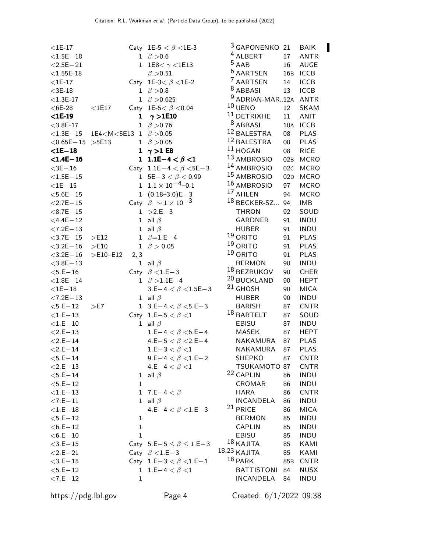| $<$ 1E-17       |                                                                                                                                                        |              | Caty 1E-5 $< \beta$ <1E-3           | <sup>3</sup> GAPONENKO 21  |         | <b>BAIK</b> | П |
|-----------------|--------------------------------------------------------------------------------------------------------------------------------------------------------|--------------|-------------------------------------|----------------------------|---------|-------------|---|
| $<$ 1.5E $-18$  |                                                                                                                                                        |              | 1 $\beta > 0.6$                     | <sup>4</sup> ALBERT        | 17      | <b>ANTR</b> |   |
| $<$ 2.5E $-$ 21 |                                                                                                                                                        |              | 1 1E8< $\gamma$ <1E13               | $5$ AAB                    | 16      | <b>AUGE</b> |   |
| $<$ 1.55E-18    |                                                                                                                                                        |              | $\beta > 0.51$                      | <sup>6</sup> AARTSEN       |         | 16B ICCB    |   |
| $<$ 1E-17       |                                                                                                                                                        |              | Caty 1E-3< $\beta$ <1E-2            | <sup>7</sup> AARTSEN       | 14      | <b>ICCB</b> |   |
| $<$ 3E-18       |                                                                                                                                                        | 1            | $\beta > 0.8$                       | <sup>8</sup> ABBASI        | 13      | <b>ICCB</b> |   |
| $<$ 1.3E-17     |                                                                                                                                                        |              | 1 $\beta > 0.625$                   | 9 ADRIAN-MAR12A ANTR       |         |             |   |
| $<$ 6E-28       | $<$ 1E17                                                                                                                                               |              | Caty 1E-5 < $\beta$ < 0.04          | $10$ UENO                  | $12 \,$ | <b>SKAM</b> |   |
| $<$ 1E-19       |                                                                                                                                                        | 1            | $\gamma >$ 1E10                     | $^{11}$ DETRIXHE           | 11      | <b>ANIT</b> |   |
| $<$ 3.8E-17     |                                                                                                                                                        | $\mathbf 1$  | $\beta > 0.76$                      | $8$ ABBASI                 |         | 10A ICCB    |   |
| $<$ 1.3E $-$ 15 | 1E4 <m<5e13 1<="" td=""><td></td><td><math>\beta &gt; 0.05</math></td><td><sup>12</sup> BALESTRA</td><td>08</td><td><b>PLAS</b></td><td></td></m<5e13> |              | $\beta > 0.05$                      | <sup>12</sup> BALESTRA     | 08      | <b>PLAS</b> |   |
| $<$ 0.65E $-15$ | >5E13                                                                                                                                                  |              | 1 $\beta > 0.05$                    | 12 BALESTRA                | 08      | <b>PLAS</b> |   |
| $<$ 1E $-$ 18   |                                                                                                                                                        |              | 1 $\gamma > 1$ E8                   | $11$ HOGAN                 | 08      | <b>RICE</b> |   |
| $<$ 1.4E $-16$  |                                                                                                                                                        |              | 1 1.1E-4 $< \beta < 1$              | <sup>13</sup> AMBROSIO     | 02B     | <b>MCRO</b> |   |
| $<$ 3E $-16$    |                                                                                                                                                        |              | Caty 1.1E-4 < $\beta$ < 5E-3        | <sup>14</sup> AMBROSIO     | 02C     | <b>MCRO</b> |   |
| $<$ 1.5E $-$ 15 |                                                                                                                                                        |              | 1 $5E-3 < \beta < 0.99$             | <sup>15</sup> AMBROSIO     | 02D     | <b>MCRO</b> |   |
| $<$ 1E $-$ 15   |                                                                                                                                                        |              | $1 \quad 1.1 \times 10^{-4} - 0.1$  | 16 AMBROSIO                | 97      | <b>MCRO</b> |   |
| $<$ 5.6E $-15$  |                                                                                                                                                        | $\mathbf{1}$ | $(0.18 - 3.0)E - 3$                 | 17 AHLEN                   | 94      | <b>MCRO</b> |   |
| $<$ 2.7E $-15$  |                                                                                                                                                        |              | Caty $\beta \sim 1 \times 10^{-3}$  | <sup>18</sup> BECKER-SZ    | 94      | <b>IMB</b>  |   |
| $< 8.7E - 15$   |                                                                                                                                                        | $\mathbf{1}$ | $>2.E-3$                            |                            | 92      | SOUD        |   |
|                 |                                                                                                                                                        |              |                                     | <b>THRON</b>               |         |             |   |
| $<$ 4.4E $-12$  |                                                                                                                                                        | $\mathbf{1}$ | all $\beta$                         | <b>GARDNER</b>             | 91      | <b>INDU</b> |   |
| $< 7.2E - 13$   |                                                                                                                                                        | $\mathbf{1}$ | all $\beta$                         | <b>HUBER</b><br>$19$ ORITO | 91      | <b>INDU</b> |   |
| $<$ 3.7E $-15$  | >E12                                                                                                                                                   |              | 1 $\beta = 1.E-4$                   | $19$ ORITO                 | 91      | <b>PLAS</b> |   |
| $<$ 3.2E $-16$  | >E10                                                                                                                                                   | $\mathbf{1}$ | $\beta > 0.05$                      |                            | 91      | <b>PLAS</b> |   |
| $<$ 3.2E $-16$  | $>E10-E12$                                                                                                                                             | 2, 3         |                                     | $19$ ORITO                 | 91      | <b>PLAS</b> |   |
| $<$ 3.8E $-13$  |                                                                                                                                                        | $\mathbf{1}$ | all $\beta$                         | <b>BERMON</b>              | 90      | <b>INDU</b> |   |
| $<$ 5.E $-16$   |                                                                                                                                                        |              | Caty $\beta$ <1.E-3                 | <sup>18</sup> BEZRUKOV     | 90      | <b>CHER</b> |   |
| $< 1.8E - 14$   |                                                                                                                                                        |              | 1 $\beta > 1.1E-4$                  | 20 BUCKLAND                | 90      | <b>HEPT</b> |   |
| $<$ 1E $-$ 18   |                                                                                                                                                        |              | $3.E-4 < \beta < 1.5E-3$            | $21$ GHOSH                 | 90      | <b>MICA</b> |   |
| $< 7.2E - 13$   |                                                                                                                                                        |              | 1 all $\beta$                       | <b>HUBER</b>               | 90      | <b>INDU</b> |   |
| $<$ 5.E $-12$   | >E7                                                                                                                                                    |              | 1 3.E-4 $< \beta$ < 5.E-3           | <b>BARISH</b>              | 87      | <b>CNTR</b> |   |
| $<$ 1.E $-$ 13  |                                                                                                                                                        |              | Caty 1.E-5 $< \beta < 1$            | <sup>18</sup> BARTELT      | 87      | SOUD        |   |
| $<$ 1.E $-$ 10  |                                                                                                                                                        |              | 1 all $\beta$                       | EBISU                      | 87      | <b>INDU</b> |   |
| $<$ 2.E $-$ 13  |                                                                                                                                                        |              | 1.E-4 $< \beta$ <6.E-4              | MASEK                      | 87      | <b>HEPT</b> |   |
| $<$ 2.E $-$ 14  |                                                                                                                                                        |              | 4.E-5 $< \beta$ < 2.E-4             | NAKAMURA                   | 87      | <b>PLAS</b> |   |
| $< 2.E - 14$    |                                                                                                                                                        |              | 1.E-3 < $\beta$ < 1                 | NAKAMURA                   | 87      | <b>PLAS</b> |   |
| $<$ 5.E $-$ 14  |                                                                                                                                                        |              | 9.E-4 $< \beta$ < 1.E-2             | SHEPKO                     | 87      | <b>CNTR</b> |   |
| $<$ 2.E $-$ 13  |                                                                                                                                                        |              | 4.E-4 $< \beta < 1$                 | TSUKAMOTO 87               |         | <b>CNTR</b> |   |
| $<$ 5.E $-$ 14  |                                                                                                                                                        | 1            | all $\beta$                         | 22 CAPLIN                  | 86      | <b>INDU</b> |   |
| $<$ 5.E $-12$   |                                                                                                                                                        | $\mathbf{1}$ |                                     | CROMAR                     | 86      | <b>INDU</b> |   |
| $<$ 1.E $-$ 13  |                                                                                                                                                        | $\mathbf{1}$ | 7.E $-4 < \beta$                    | <b>HARA</b>                | 86      | <b>CNTR</b> |   |
| $< 7.E - 11$    |                                                                                                                                                        |              | 1 all $\beta$                       | <b>INCANDELA</b>           | 86      | <b>INDU</b> |   |
| $<$ 1.E $-$ 18  |                                                                                                                                                        |              | 4.E-4 $< \beta$ < 1.E-3             | <sup>21</sup> PRICE        | 86      | <b>MICA</b> |   |
| $<$ 5.E $-12$   |                                                                                                                                                        | $\mathbf 1$  |                                     | <b>BERMON</b>              | 85      | <b>INDU</b> |   |
| $<$ 6.E $-$ 12  |                                                                                                                                                        | $\mathbf 1$  |                                     | <b>CAPLIN</b>              | 85      | <b>INDU</b> |   |
| $<$ 6.E $-10$   |                                                                                                                                                        | $\mathbf{1}$ |                                     | EBISU                      | 85      | <b>INDU</b> |   |
| $<$ 3.E $-15$   |                                                                                                                                                        |              | Caty 5.E-5 $\leq \beta \leq 1.$ E-3 | $18$ KAJITA                | 85      | KAMI        |   |
| $<$ 2.E $-$ 21  |                                                                                                                                                        |              | Caty $\beta$ < 1.E - 3              | 18,23 KAJITA               | 85      | KAMI        |   |
| $<$ 3.E $-15$   |                                                                                                                                                        |              | Caty $1.E-3 < \beta < 1.E-1$        | $18$ PARK                  | 85B     | <b>CNTR</b> |   |
| $<$ 5.E $-12$   |                                                                                                                                                        |              | 1 1.E-4 $< \beta < 1$               | <b>BATTISTONI</b>          | 84      | <b>NUSX</b> |   |
| $< 7.E - 12$    |                                                                                                                                                        | $\mathbf{1}$ |                                     | <b>INCANDELA</b>           | 84      | <b>INDU</b> |   |
|                 |                                                                                                                                                        |              |                                     |                            |         |             |   |

 $\textsf{https://pdg.lbl.gov}$ 

Created:  $6/1/2022$  09:38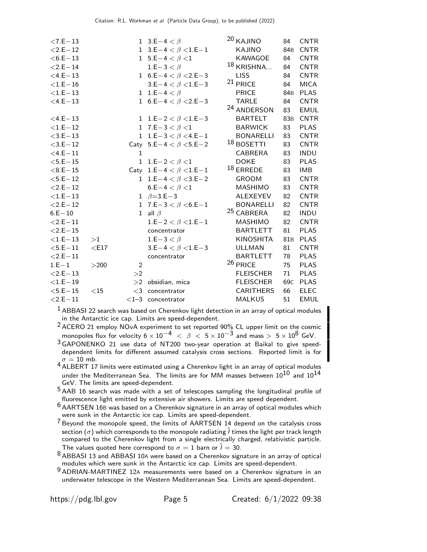| $< 7.E-13$     |         |              | 1 3.E – 4 $< \beta$           | <sup>20</sup> KAJINO   | 84              | <b>CNTR</b> |
|----------------|---------|--------------|-------------------------------|------------------------|-----------------|-------------|
| $<$ 2.E $-$ 12 |         |              | 1 3.E-4 $< \beta < 1.$ E-1    | KAJINO                 | 84B             | <b>CNTR</b> |
| $<$ 6.E $-$ 13 |         |              | 1 $5.E-4 < \beta < 1$         | KAWAGOE                | 84              | <b>CNTR</b> |
| $< 2.E - 14$   |         |              | $1.E-3 < \beta$               | 18 KRISHNA             | 84              | <b>CNTR</b> |
| $<$ 4.E $-13$  |         |              | 1 $6.E-4 < \beta < 2.E-3$     | <b>LISS</b>            | 84              | <b>CNTR</b> |
| $<$ 1.E $-$ 16 |         |              | 3.E-4 $< \beta$ < 1.E-3       | 21 PRICE               | 84              | <b>MICA</b> |
| $<$ 1.E $-$ 13 |         |              | 1 1.E-4 $< \beta$             | <b>PRICE</b>           | 84 <sub>B</sub> | <b>PLAS</b> |
| $<$ 4.E $-13$  |         |              | 1 6.E-4 $< \beta$ < 2.E-3     | <b>TARLE</b>           | 84              | <b>CNTR</b> |
|                |         |              |                               | <sup>24</sup> ANDERSON | 83              | <b>EMUL</b> |
| $<$ 4.E $-13$  |         |              | 1 1.E-2 $< \beta$ $<$ 1.E-3   | <b>BARTELT</b>         | 83 <sub>B</sub> | <b>CNTR</b> |
| $<$ 1.E $-12$  |         |              | 1 7.E-3 $< \beta < 1$         | <b>BARWICK</b>         | 83              | <b>PLAS</b> |
| $<$ 3.E $-13$  |         |              | 1 1.E-3 $< \beta$ < 4.E-1     | <b>BONARELLI</b>       | 83              | <b>CNTR</b> |
| $<$ 3.E $-12$  |         |              | Caty 5.E-4 $< \beta$ <5.E-2   | $18$ BOSETTI           | 83              | <b>CNTR</b> |
| $<$ 4.E $-11$  |         | $\mathbf{1}$ |                               | <b>CABRERA</b>         | 83              | <b>INDU</b> |
| $<$ 5.E $-15$  |         | $\mathbf{1}$ | 1.E-2 $< \beta < 1$           | <b>DOKE</b>            | 83              | <b>PLAS</b> |
| $< 8.E - 15$   |         |              | Caty 1.E-4 $< \beta < 1.$ E-1 | $18$ ERREDE            | 83              | IMB         |
| $<$ 5.E $-12$  |         |              | 1 1.E-4 $< \beta$ < 3.E-2     | <b>GROOM</b>           | 83              | <b>CNTR</b> |
| $< 2.E - 12$   |         |              | $6.E-4 < \beta < 1$           | <b>MASHIMO</b>         | 83              | <b>CNTR</b> |
| $<$ 1.E $-13$  |         |              | 1 $\beta = 3.E-3$             | <b>ALEXEYEV</b>        | 82              | <b>CNTR</b> |
| $< 2.E - 12$   |         |              | 1 7.E-3 $< \beta$ <6.E-1      | <b>BONARELLI</b>       | 82              | <b>CNTR</b> |
| $6.E - 10$     |         |              | 1 all $\beta$                 | <sup>25</sup> CABRERA  | 82              | <b>INDU</b> |
| $<$ 2.E $-11$  |         |              | 1.E-2 $< \beta$ < 1.E-1       | <b>MASHIMO</b>         | 82              | <b>CNTR</b> |
| $< 2.E - 15$   |         |              | concentrator                  | <b>BARTLETT</b>        | 81              | <b>PLAS</b> |
| $<$ 1.E $-$ 13 | >1      |              | 1.E-3 $< \beta$               | <b>KINOSHITA</b>       | 81 <sub>B</sub> | <b>PLAS</b> |
| $<$ 5.E $-11$  | $<$ E17 |              | $3.E-4 < \beta < 1.E-3$       | <b>ULLMAN</b>          | 81              | <b>CNTR</b> |
| $< 2.E - 11$   |         |              | concentrator                  | <b>BARTLETT</b>        | 78              | <b>PLAS</b> |
| $1.E-1$        | >200    | 2            |                               | <sup>26</sup> PRICE    | 75              | <b>PLAS</b> |
| $< 2.E - 13$   |         | >2           |                               | <b>FLEISCHER</b>       | 71              | <b>PLAS</b> |
| $<$ 1.E $-19$  |         |              | $>2$ obsidian, mica           | <b>FLEISCHER</b>       | 69 <sub>C</sub> | <b>PLAS</b> |
| $<$ 5.E $-15$  | $<$ 15  | $\leq$ 3     | concentrator                  | <b>CARITHERS</b>       | 66              | <b>ELEC</b> |
| $<$ 2.E $-11$  |         |              | $<$ 1-3 concentrator          | <b>MALKUS</b>          | 51              | <b>EMUL</b> |

 $<sup>1</sup>$  ABBASI 22 search was based on Cherenkov light detection in an array of optical modules</sup> in the Antarctic ice cap. Limits are speed-dependent.

2 ACERO 21 employ NOvA experiment to set reported 90% CL upper limit on the cosmic monopoles flux for velocity  $6 \times 10^{-4} < \beta < 5 \times 10^{-3}$  and mass  $> 5 \times 10^8$  GeV.

3 GAPONENKO 21 use data of NT200 two-year operation at Baikal to give speeddependent limits for different assumed catalysis cross sections. Reported limit is for

 $\sigma = 10$  mb.<br><sup>4</sup> ALBERT 17 limits were estimated using a Cherenkov light in an array of optical modules under the Mediterranean Sea. The limits are for MM masses between  $10^{10}$  and  $10^{14}$ GeV. The limits are speed-dependent.

<sup>5</sup> AAB 16 search was made with a set of telescopes sampling the longitudinal profile of fluorescence light emitted by extensive air showers. Limits are speed dependent.

 $6$  AARTSEN 16B was based on a Cherenkov signature in an array of optical modules which were sunk in the Antarctic ice cap. Limits are speed-dependent.

<sup>7</sup> Beyond the monopole speed, the limits of AARTSEN 14 depend on the catalysis cross section ( $\sigma$ ) which corresponds to the monopole radiating  $\hat{l}$  times the light per track length compared to the Cherenkov light from a single electrically charged, relativistic particle. The values quoted here correspond to  $\sigma=1$  barn or  $\hat{l}=30.1$ 

<sup>8</sup> ABBASI 13 and ABBASI 10A were based on a Cherenkov signature in an array of optical modules which were sunk in the Antarctic ice cap. Limits are speed-dependent.

9 ADRIAN-MARTINEZ 12<sup>A</sup> measurements were based on a Cherenkov signature in an underwater telescope in the Western Mediterranean Sea. Limits are speed-dependent.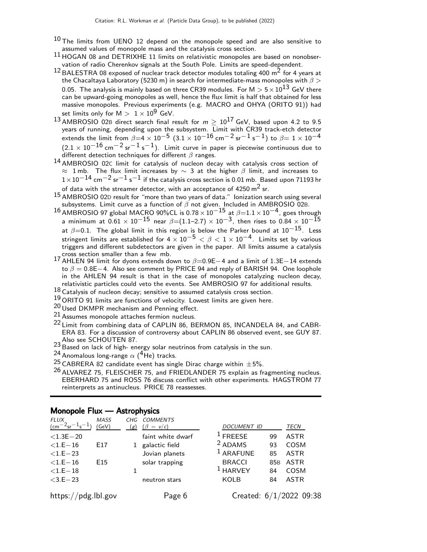- $^{10}$  The limits from UENO 12 depend on the monopole speed and are also sensitive to assumed values of monopole mass and the catalysis cross section.
- $11$  HOGAN 08 and DETRIXHE 11 limits on relativistic monopoles are based on nonobservation of radio Cherenkov signals at the South Pole. Limits are speed-dependent.
- 12 BALESTRA 08 exposed of nuclear track detector modules totaling 400 m2 for 4 years at the Chacaltaya Laboratory (5230 m) in search for intermediate-mass monopoles with  $\beta$  > 0.05. The analysis is mainly based on three CR39 modules. For  $M > 5 \times 10^{13}$  GeV there can be upward-going monopoles as well, hence the flux limit is half that obtained for less massive monopoles. Previous experiments (e.g. MACRO and OHYA (ORITO 91)) had set limits only for  $M > 1 \times 10^9$  GeV.
- $^{13}$  AMBROSIO 02B direct search final result for  $m \geq 10^{17}$  GeV, based upon 4.2 to 9.5 years of running, depending upon the subsystem. Limit with CR39 track-etch detector extends the limit from  $\beta{=}4\times10^{-5}$   $(3.1\times10^{-16}$  cm $^{-2}$  sr $^{-1}$  s $^{-1})$  to  $\beta{=}$   $1\times10^{-4}$  $(2.1 \times 10^{-16} \text{ cm}^{-2} \text{ sr}^{-1} \text{ s}^{-1})$ . Limit curve in paper is piecewise continuous due to different detection techniques for different  $\beta$  ranges.
- 14 AMBROSIO 02C limit for catalysis of nucleon decay with catalysis cross section of  $\approx$  1 mb. The flux limit increases by  $\sim$  3 at the higher  $\beta$  limit, and increases to  $1\times10^{-14}$  cm<sup>-2</sup> sr<sup>-1</sup> s<sup>-1</sup> if the catalysis cross section is 0.01 mb. Based upon 71193 hr of data with the streamer detector, with an acceptance of 4250  $m^2$  sr.
- $15$  AMBROSIO 02D result for "more than two years of data." lonization search using several subsystems. Limit curve as a function of  $\beta$  not given. Included in AMBROSIO 02B.
- $^{16}$  AMBROSIO 97 global MACRO 90%CL is 0.78 $\times$ 10 $^{-15}$  at  $\beta{=}1.1\times10^{-4}$ , goes through a minimum at  $0.61\times10^{-15}$  near  $\beta{=}(1.1{-}2.7)\times10^{-3},$  then rises to  $0.84\times10^{-\check{15}}$ at  $\beta$ =0.1. The global limit in this region is below the Parker bound at 10<sup>-15</sup>. Less stringent limits are established for  $4 \times 10^{-5} < \beta < 1 \times 10^{-4}$ . Limits set by various triggers and different subdetectors are given in the paper. All limits assume a catalysis cross section smaller than a few mb.
- 17 AHLEN 94 limit for dyons extends down to  $\beta$ =0.9E−4 and a limit of 1.3E−14 extends to  $\beta = 0.8E-4$ . Also see comment by PRICE 94 and reply of BARISH 94. One loophole in the AHLEN 94 result is that in the case of monopoles catalyzing nucleon decay, relativistic particles could veto the events. See AMBROSIO 97 for additional results.
- $18$  Catalysis of nucleon decay; sensitive to assumed catalysis cross section.
- $19$  ORITO 91 limits are functions of velocity. Lowest limits are given here.
- 20 Used DKMPR mechanism and Penning effect.
- 21 Assumes monopole attaches fermion nucleus.
- 22 Limit from combining data of CAPLIN 86, BERMON 85, INCANDELA 84, and CABR-ERA 83. For a discussion of controversy about CAPLIN 86 observed event, see GUY 87. Also see SCHOUTEN 87.
- 23 Based on lack of high- energy solar neutrinos from catalysis in the sun.
- <sup>24</sup> Anomalous long-range  $\alpha$  (<sup>4</sup>He) tracks.
- <sup>25</sup> CABRERA 82 candidate event has single Dirac charge within  $\pm$  5%.
- $26$  ALVAREZ 75, FLEISCHER 75, and FRIEDLANDER 75 explain as fragmenting nucleus. EBERHARD 75 and ROSS 76 discuss conflict with other experiments. HAGSTROM 77 reinterprets as antinucleus. PRICE 78 reassesses.

| <b>FLUX</b><br>$\rm (cm^{-2}sr^{-1}s^{-1}$ | <b>MASS</b><br>GeV) | CHG<br>(g)   | <b>COMMENTS</b><br>$(\beta = v/c)$ | DOCUMENT ID               |                 | TECN        |  |
|--------------------------------------------|---------------------|--------------|------------------------------------|---------------------------|-----------------|-------------|--|
| $< 1.3E - 20$                              |                     |              | faint white dwarf                  | $1$ FREESE                | 99              | <b>ASTR</b> |  |
| $<$ 1.E $-$ 16                             | E17                 | $\mathbf{1}$ | galactic field                     | <sup>2</sup> ADAMS        | 93              | <b>COSM</b> |  |
| $< 1.E - 23$                               |                     |              | Jovian planets                     | <sup>1</sup> ARAFUNE      | 85              | <b>ASTR</b> |  |
| $< 1.E - 16$                               | E <sub>15</sub>     |              | solar trapping                     | <b>BRACCI</b>             | 85 <sub>B</sub> | <b>ASTR</b> |  |
| $<$ 1.E $-18$                              |                     |              |                                    | <sup>1</sup> HARVEY       | 84              | <b>COSM</b> |  |
| $<$ 3.E $-$ 23                             |                     |              | neutron stars                      | KOLB                      | 84              | <b>ASTR</b> |  |
| https:/                                    | pdg.lbl.gov/        |              | Page 6                             | Created: $6/1/2022$ 09:38 |                 |             |  |

#### Monopole Flux — Astrophysics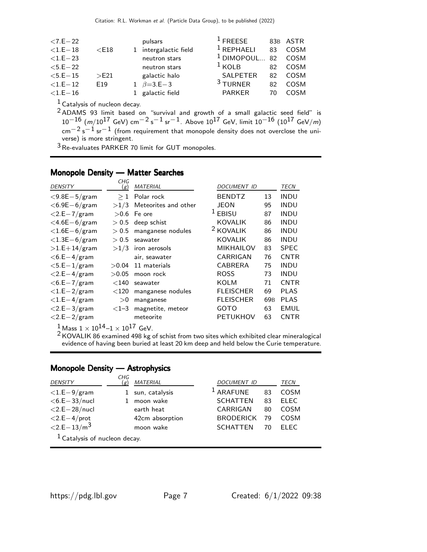| $< 7.E - 22$   |                  | pulsars               | $^1$ FRFFSF           |    | 83B ASTR |
|----------------|------------------|-----------------------|-----------------------|----|----------|
| $<$ 1.E $-$ 18 | $<$ E18          | 1 intergalactic field | $1$ REPHAELI          | 83 | COSM     |
| $< 1.E - 23$   |                  | neutron stars         | <sup>1</sup> DIMOPOUL | 82 | COSM     |
| $< 5.E - 22$   |                  | neutron stars         | $1$ KOLB              | 82 | COSM     |
| $< 5.E - 15$   | >E <sub>21</sub> | galactic halo         | <b>SALPETER</b>       | 82 | COSM     |
| $< 1.E - 12$   | F <sub>19</sub>  | 1 $\beta = 3.E-3$     | $3$ TURNER            | 82 | COSM     |
| $<$ 1.E $-$ 16 |                  | 1 galactic field      | <b>PARKER</b>         | 70 | COSM     |

 $<sup>1</sup>$  Catalysis of nucleon decay.</sup>

 $2$  ADAMS 93 limit based on "survival and growth of a small galactic seed field" is  $10^{-16}$  (m/10<sup>17</sup> GeV) cm<sup>-2</sup> s<sup>-1</sup> sr<sup>-1</sup>. Above 10<sup>17</sup> GeV, limit 10<sup>-16</sup> (10<sup>17</sup> GeV/m)  $\text{cm}^{-2} \text{s}^{-1} \text{ sr}^{-1}$  (from requirement that monopole density does not overclose the universe) is more stringent.

 $3$  Re-evaluates PARKER 70 limit for GUT monopoles.

## Monopole Density — Matter Searches

| <b>DENSITY</b>      | CHG<br>(g) | <b>MATERIAL</b>      | <i>DOCUMENT ID</i>   |                 | TECN        |
|---------------------|------------|----------------------|----------------------|-----------------|-------------|
| $<$ 9.8E $-5$ /gram | $\geq 1$   | Polar rock           | <b>BENDTZ</b>        | 13              | <b>INDU</b> |
| $<$ 6.9E $-$ 6/gram | >1/3       | Meteorites and other | <b>JEON</b>          | 95              | <b>INDU</b> |
| $<$ 2.E $-7$ /gram  |            | $>0.6$ Fe ore        | $1$ EBISU            | 87              | <b>INDU</b> |
| $<$ 4.6E $-$ 6/gram |            | $> 0.5$ deep schist  | <b>KOVALIK</b>       | 86              | <b>INDU</b> |
| $<$ 1.6E $-$ 6/gram | > 0.5      | manganese nodules    | <sup>2</sup> KOVALIK | 86              | <b>INDU</b> |
| $<$ 1.3E $-6$ /gram | > 0.5      | seawater             | <b>KOVALIK</b>       | 86              | <b>INDU</b> |
| $>1.E+14/gram$      |            | $>1/3$ iron aerosols | <b>MIKHAILOV</b>     | 83              | <b>SPEC</b> |
| $<$ 6.E $-$ 4/gram  |            | air, seawater        | CARRIGAN             | 76              | <b>CNTR</b> |
| $<$ 5.E $-1$ /gram  | >0.04      | 11 materials         | CABRERA              | 75              | INDU        |
| $<$ 2.E $-4$ /gram  | >0.05      | moon rock            | <b>ROSS</b>          | 73              | <b>INDU</b> |
| $<$ 6.E $-$ 7/gram  | $<$ 140    | seawater             | <b>KOLM</b>          | 71              | <b>CNTR</b> |
| $<$ 1.E $-$ 2/gram  | $<$ 120    | manganese nodules    | <b>FLEISCHER</b>     | 69              | <b>PLAS</b> |
| $<$ 1.E $-4$ /gram  | >0         | manganese            | <b>FLEISCHER</b>     | 69 <sub>B</sub> | <b>PLAS</b> |
| $<$ 2.E $-$ 3/gram  | $<$ 1-3    | magnetite, meteor    | <b>GOTO</b>          | 63              | <b>EMUL</b> |
| $<$ 2.E $-$ 2/gram  |            | meteorite            | <b>PETUKHOV</b>      | 63              | <b>CNTR</b> |

 $1 \text{ Mass } 1 \times 10^{14} - 1 \times 10^{17} \text{ GeV}.$ 

 $2$  KOVALIK 86 examined 498 kg of schist from two sites which exhibited clear mineralogical evidence of having been buried at least 20 km deep and held below the Curie temperature.

#### Monopole Density — Astrophysics

| <b>DENSITY</b>                  | CHG<br>(g) | <b>MATERIAL</b>  | <b>DOCUMENT ID</b> |    | TECN        |  |  |
|---------------------------------|------------|------------------|--------------------|----|-------------|--|--|
| $<$ 1.E $-9$ /gram              |            | 1 sun, catalysis | $1$ ARAFUNE        | 83 | COSM        |  |  |
| $<$ 6.E $-$ 33/nucl             |            | moon wake        | <b>SCHATTEN</b>    | 83 | <b>ELEC</b> |  |  |
| $<$ 2.E $-$ 28/nucl             |            | earth heat       | CARRIGAN           | 80 | COSM        |  |  |
| $<$ 2.E $-4$ /prot              |            | 42cm absorption  | <b>BRODERICK</b>   | 79 | COSM        |  |  |
| $< 2.E - 13/m3$                 |            | moon wake        | <b>SCHATTEN</b>    | 70 | FI FC       |  |  |
| $1$ Catalysis of nucleon decay. |            |                  |                    |    |             |  |  |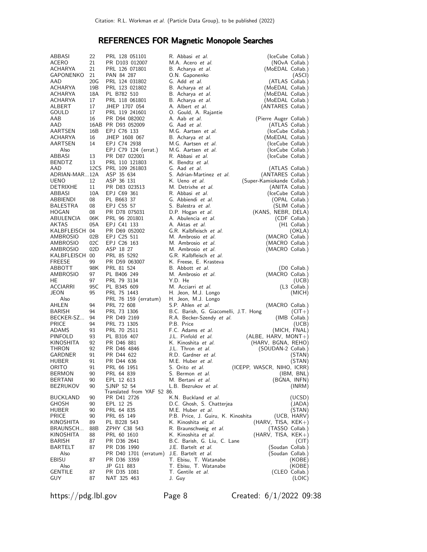## REFERENCES FOR Magnetic Monopole Searches

| ABBASI          | 22              | PRL 128 051101             | R. Abbasi et al.                      |                            |
|-----------------|-----------------|----------------------------|---------------------------------------|----------------------------|
|                 |                 |                            |                                       | (IceCube Collab.)          |
| ACERO           | 21              | PR D103 012007             | M.A. Acero et al.                     | (NOvA Collab.)             |
| ACHARYA         | 21              | PRL 126 071801             | B. Acharya et al.                     | (MoEDAL Collab.)           |
| GAPONENKO       | 21              | PAN 84 287                 | O.N. Gaponenko                        | (ASCI)                     |
| AAD             | 20G             | PRL 124 031802             | G. Add <i>et al.</i>                  | (ATLAS Collab.)            |
| ACHARYA         | 19 <sub>B</sub> | PRL 123 021802             | B. Acharya et al.                     | (MoEDAL Collab.)           |
| ACHARYA         | 18A             | PL B782 510                | B. Acharya et al.                     | (MoEDAL Collab.)           |
|                 |                 |                            |                                       |                            |
| ACHARYA         | 17              | PRL 118 061801             | B. Acharya <i>et al</i> .             | (MoEDAL Collab.)           |
| ALBERT          | 17              | JHEP 1707 054              | A. Albert et al.                      | (ANTARES Collab.)          |
| GOULD           | 17              | PRL 119 241601             | O. Gould, A. Rajantie                 |                            |
| AAB             | 16              | PR D94 082002              | A. Aab <i>et al.</i>                  | (Pierre Auger Collab.)     |
| AAD             |                 | 16AB PR D93 052009         | G. Aad <i>et al.</i>                  | (ATLAS Collab.)            |
| AARTSEN         | 16B             | EPJ C76 133                | M.G. Aartsen et al.                   | (IceCube Collab.)          |
|                 |                 |                            |                                       |                            |
| ACHARYA         | 16              | JHEP 1608 067              | B. Acharya et al.                     | (MoEDAL Collab.)           |
| <b>AARTSEN</b>  | 14              | EPJ C74 2938               | M.G. Aartsen et al.                   | (IceCube Collab.)          |
| Also            |                 | EPJ C79 124 (errat.)       | M.G. Aartsen et al.                   | (IceCube Collab.)          |
| ABBASI          | 13              | PR D87 022001              | R. Abbasi et al.                      | (IceCube Collab.)          |
| <b>BENDTZ</b>   | 13              | PRL 110 121803             | K. Bendtz et al.                      |                            |
| AAD             |                 | 12CS PRL 109 261803        | G. Aad et al.                         | (ATLAS Collab.)            |
|                 |                 |                            |                                       |                            |
| ADRIAN-MAR12A   |                 | ASP 35 634                 | S. Adrian-Martinez et al.             | (ANTARES Collab.)          |
| <b>UENO</b>     | 12              | ASP 36 131                 | K. Ueno et al.                        | (Super-Kamiokande Collab.) |
| <b>DETRIXHE</b> | 11              | PR D83 023513              | M. Detrixhe et al.                    | (ANITA Collab.)            |
| ABBASI          | 10A             | EPJ C69 361                | R. Abbasi et al.                      | (IceCube Collab.)          |
| ABBIENDI        | 08              | PL B663 37                 | G. Abbiendi et al.                    | (OPAL Collab.)             |
| BALESTRA        | 08              | EPJ C55 57                 | S. Balestra et al.                    | (SLIM Collab.)             |
|                 | 08              | PR D78 075031              |                                       |                            |
| HOGAN           |                 |                            | D.P. Hogan et al.                     | (KANS, NEBR, DELA)         |
| ABULENCIA       | 06K             | PRL 96 201801              | A. Abulencia et al.                   | (CDF Collab.)              |
| AKTAS           | 05A             | EPJ C41 133                | A. Aktas <i>et al.</i>                | (H1 Collab.)               |
| KALBFLEISCH 04  |                 | PR D69 052002              | G.R. Kalbfleisch et al.               | (OKLA)                     |
| AMBROSIO        | 02B             | EPJ C25 511                | M. Ambrosio et al.                    | (MACRO Collab.)            |
| AMBROSIO        | 02C             | EPJ C26 163                | M. Ambrosio et al.                    | (MACRO Collab.)            |
| AMBROSIO        | 02D             | ASP 18 27                  | M. Ambrosio et al.                    | (MACRO Collab.)            |
|                 |                 |                            |                                       |                            |
| KALBFLEISCH 00  |                 | PRL 85 5292                | G.R. Kalbfleisch et al.               |                            |
| FREESE          | 99              | PR D59 063007              | K. Freese, E. Krasteva                |                            |
| ABBOTT          | 98K             | PRL 81 524                 | B. Abbott et al.                      | (D0 Collab.)               |
| AMBROSIO        | 97              | PL B406 249                | M. Ambrosio et al.                    | (MACRO Collab.)            |
| HE              | 97              | PRL 79 3134                | Y.D. He                               | (UCB)                      |
| ACCIARRI        | 95C             | PL B345 609                | M. Acciarri et al.                    | (L3 Collab.)               |
| JEON            | 95              | PRL 75 1443                | H. Jeon, M.J. Longo                   | (MICH)                     |
|                 |                 |                            |                                       |                            |
| Also            |                 | PRL 76 159 (erratum)       | H. Jeon, M.J. Longo                   |                            |
| AHLEN           | 94              | PRL 72 608                 | S.P. Ahlen et al.                     | (MACRO Collab.)            |
| <b>BARISH</b>   | 94              | PRL 73 1306                | B.C. Barish, G. Giacomelli, J.T. Hong | $(CIT+)$                   |
| BECKER-SZ       | 94              | PR D49 2169                | R.A. Becker-Szendy et al.             | (IMB Collab.)              |
| <b>PRICE</b>    | 94              | PRL 73 1305                | P.B. Price                            | (UCB)                      |
| <b>ADAMS</b>    | 93              | PRL 70 2511                | F.C. Adams et al.                     | (MICH, FNAL)               |
| PINFOLD         | 93              | PL B316 407                | J.L. Pinfold et al.                   | $(ALBE, HARV, MONT+)$      |
| KINOSHITA       | 92              | PR D46 881                 | K. Kinoshita et al.                   | (HARV, BGNA, REHO)         |
|                 |                 |                            |                                       |                            |
| THRON           | 92              | PR D46 4846                | J.L. Thron et al.                     | (SOUDAN-2 Collab.)         |
| GARDNER         | 91              | PR D44 622                 | R.D. Gardner et al.                   | (STAN)                     |
| HUBER           | 91              | PR D44 636                 | M.E. Huber et al.                     | (STAN)                     |
| ORITO           | 91              | PRL 66 1951                | S. Orito <i>et al.</i>                | (ICEPP, WASCR, NIHO, ICRR) |
| BERMON          | 90              | PRL 64 839                 | S. Bermon et al.                      | (IBM, BNL)                 |
| <b>BERTANI</b>  | 90              | EPL 12 613                 | M. Bertani <i>et al.</i>              | (BGNA, INFN)               |
| BEZRUKOV        | 90              | SJNP 52 54                 | L.B. Bezrukov et al.                  |                            |
|                 |                 | Translated from YAF 52 86. |                                       | (INRM)                     |
|                 |                 |                            |                                       |                            |
| BUCKLAND        | 90              | PR D41 2726                | K.N. Buckland et al.                  | (UCSD)                     |
| GHOSH           | 90              | EPL 12 25                  | D.C. Ghosh, S. Chatterjea             | (JADA)                     |
| HUBER           | 90              | PRL 64 835                 | M.E. Huber et al.                     | (STAN)                     |
| PRICE           | 90              | PRL 65 149                 | P.B. Price, J. Guiru, K. Kinoshita    | (UCB, HARV)                |
| KINOSHITA       | 89              | PL B228 543                | K. Kinoshita et al.                   | (HARV, TISA, KEK+)         |
| BRAUNSCH        | 88B             | ZPHY C38 543               | R. Braunschweig et al.                | (TASSO Collab.)            |
| KINOSHITA       | 88              | PRL 60 1610                | K. Kinoshita <i>et al.</i>            | (HARV, TISA, KEK+)         |
|                 |                 |                            |                                       |                            |
| BARISH          | 87              | PR D36 2641                | B.C. Barish, G. Liu, C. Lane          | (CIT)                      |
| BARTELT         | 87              | PR D36 1990                | J.E. Bartelt <i>et al.</i>            | (Soudan Collab.)           |
| Also            |                 | PR D40 1701 (erratum)      | J.E. Bartelt et al.                   | (Soudan Collab.)           |
| EBISU           | 87              | PR D36 3359                | T. Ebisu, T. Watanabe                 | (KOBE)                     |
| Also            |                 | JP G11 883                 | T. Ebisu, T. Watanabe                 | (KOBE)                     |
| GENTILE         | 87              | PR D35 1081                | T. Gentile et al.                     | (CLEO Collab.)             |
| GUY             | 87              | NAT 325 463                | J. Guy                                | (LOIC)                     |
|                 |                 |                            |                                       |                            |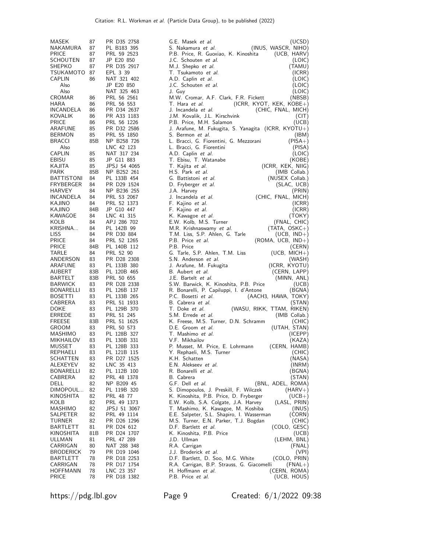| (INUS, WASCR, NIHO)<br>NAKAMURA<br>87<br>PL B183 395<br>S. Nakamura et al.<br>P.B. Price, R. Guoxiao, K. Kinoshita<br><b>PRICE</b><br>87<br>PRL 59 2523<br>(UCB, HARV)<br>SCHOUTEN<br>87<br>JP E20 850<br>J.C. Schouten et al.<br>(LOIC)<br>87<br><b>SHEPKO</b><br>PR D35 2917<br>M.J. Shepko et al.<br>(TAMU)<br>87<br>TSUKAMOTO<br>EPL 3 39<br>T. Tsukamoto et al.<br>(ICRR)<br><b>CAPLIN</b><br>86<br>NAT 321 402<br>A.D. Caplin et al.<br>(LOIC)<br>Also<br>JP E20 850<br>J.C. Schouten et al.<br>(LOIC)<br>Also<br>NAT 325 463<br>J. Guy<br>(LOIC)<br>CROMAR<br>PRL 56 2561<br>M.W. Cromar, A.F. Clark, F.R. Fickett<br>(NBSB)<br>86<br>T. Hara et al.<br>HARA<br>86<br>PRL 56 553<br>$(ICRR, KYOT, KEK, KOBE+)$<br>INCANDELA<br>86<br>PR D34 2637<br>J. Incandela et al.<br>(CHIC, FNAL, MICH)<br>PR A33 1183<br>J.M. Kovalik, J.L. Kirschvink<br>KOVALIK<br>86<br>(CIT)<br><b>PRICE</b><br>PRL 56 1226<br>86<br>P.B. Price, M.H. Salamon<br>(UCB)<br>ARAFUNE<br>85<br>PR D32 2586<br>J. Arafune, M. Fukugita, S. Yanagita (ICRR, KYOTU+)<br><b>BERMON</b><br>85<br>PRL 55 1850<br>S. Bermon et al.<br>(IBM)<br><b>BRACCI</b><br>85B<br>NP B258 726<br>L. Bracci, G. Fiorentini, G. Mezzorani<br>$(PISA+)$<br>LNC 42 123<br>L. Bracci, G. Fiorentini<br>(PISA)<br>Also<br><b>CAPLIN</b><br>85<br>NAT 317 234<br>A.D. Caplin et al.<br>(LOIC)<br>EBISU<br>85<br>JP G11 883<br>T. Ebisu, T. Watanabe<br>(KOBE)<br>KAJITA<br>85<br>JPSJ 54 4065<br>T. Kajita <i>et al.</i><br>(ICRR, KEK, NIIG)<br><b>PARK</b><br>85B<br>NP B252 261<br>H.S. Park et al.<br>(IMB Collab.)<br><b>BATTISTONI</b><br>84<br>PL 133B 454<br>G. Battistoni et al.<br>(NUSEX Collab.)<br>FRYBERGER<br>84<br>PR D29 1524<br>D. Fryberger et al.<br>(SLAC, UCB)<br>HARVEY<br>84<br>NP B236 255<br>J.A. Harvey<br>(PRIN)<br>(CHIC, FNAL, MICH)<br>INCANDELA<br>84<br>PRL 53 2067<br>J. Incandela et al.<br>PRL 52 1373<br>KAJINO<br>84<br>F. Kajino et al.<br>(ICRR)<br>JP G10 447<br>KAJINO<br>84B<br>F. Kajino et al.<br>(ICRR)<br>KAWAGOE<br>84<br>LNC 41 315<br>(TOKY)<br>K. Kawagoe <i>et al.</i><br>KOLB<br>84<br>APJ 286 702<br>E.W. Kolb, M.S. Turner<br>(FNAL, CHIC)<br>KRISHNA<br>PL 142B 99<br>84<br>M.R. Krishnaswamy et al.<br>$(TATA, OSKC+)$<br><b>LISS</b><br>84<br>PR D30 884<br>T.M. Liss, S.P. Ahlen, G. Tarle<br>$(UCB, IND+)$<br><b>PRICE</b><br>PRL 52 1265<br>P.B. Price et al.<br>84<br>(ROMA, UCB, IND+)<br><b>PRICE</b><br>84B<br>PL 140B 112<br>P.B. Price<br>(CERN)<br>TARLE<br>84<br>PRL 52 90<br>G. Tarle, S.P. Ahlen, T.M. Liss<br>$(UCB, MICH+)$<br>83<br>ANDERSON<br>PR D28 2308<br>S.N. Anderson et al.<br>(WASH)<br>83<br>(ICRR, KYOTU)<br>ARAFUNE<br>PL 133B 380<br>J. Arafune, M. Fukugita<br>AUBERT<br>83B<br>PL 120B 465<br>B. Aubert et al.<br>(CERN, LAPP)<br><b>BARTELT</b><br>83B<br>PRL 50 655<br>J.E. Bartelt <i>et al.</i><br>(MINN, ANL)<br>83<br><b>BARWICK</b><br>PR D28 2338<br>S.W. Barwick, K. Kinoshita, P.B. Price<br>(UCB)<br>83<br>BONARELLI<br>PL 126B 137<br>(BGNA)<br>R. Bonarelli, P. Capiluppi, I. d'Antone<br>83<br><b>BOSETTI</b><br>PL 133B 265<br>P.C. Bosetti et al.<br>(AACH3, HAWA, TOKY)<br>83<br>CABRERA<br>PRL 51 1933<br>B. Cabrera et al.<br>(STAN)<br><b>DOKE</b><br>83<br>T. Doke et al.<br>PL 129B 370<br>(WASU, RIKK, TTAM, RIKEN)<br>ERREDE<br>83<br>PRL 51 245<br>S.M. Errede et al.<br>(IMB Collab.)<br>83B<br><b>FREESE</b><br>PRL 51 1625<br>K. Freese, M.S. Turner, D.N. Schramm<br>(CHIC)<br>83<br>PRL 50 573<br>(UTAH, STAN)<br><b>GROOM</b><br>D.E. Groom et al.<br>83<br>MASHIMO<br>PL 128B 327<br>T. Mashimo et al.<br>(ICEPP)<br>83<br><b>MIKHAILOV</b><br>PL 130B 331<br>V.F. Mikhailov<br>(KAZA)<br><b>MUSSET</b><br>83<br>(CERN, HAMB)<br>PL 128B 333<br>P. Musset, M. Price, E. Lohrmann<br>83<br>PL 121B 115<br>Y. Rephaeli, M.S. Turner<br>(CHIC)<br>REPHAELI<br>83<br>K.H. Schatten<br>(NASA)<br>SCHATTEN<br>PR D27 1525<br>82<br>LNC 35 413<br>E.N. Alekseev et al.<br>ALEXEYEV<br>(INRM)<br>82<br>BONARELLI<br>PL 112B 100<br>R. Bonarelli et al.<br>(BGNA)<br>82<br>CABRERA<br>PRL 48 1378<br>B. Cabrera<br>(STAN)<br>82<br>DELL<br>NP B209 45<br>G.F. Dell et al.<br>(BNL, ADEL, ROMA)<br>82<br>DIMOPOUL<br>PL 119B 320<br>S. Dimopoulos, J. Preskill, F. Wilczek<br>$(HARV+)$<br>KINOSHITA<br>82<br>PRL 48 77<br>K. Kinoshita, P.B. Price, D. Fryberger<br>$(UCB+)$<br>KOLB<br>82<br>PRL 49 1373<br>E.W. Kolb, S.A. Colgate, J.A. Harvey<br>(LASL, PRIN)<br>MASHIMO<br>82<br>JPSJ 51 3067<br>T. Mashimo, K. Kawagoe, M. Koshiba<br>(INUS)<br>SALPETER<br>82<br>PRL 49 1114<br>E.E. Salpeter, S.L. Shapiro, I. Wasserman<br>(CORN)<br>TURNER<br>82<br>PR D26 1296<br>M.S. Turner, E.N. Parker, T.J. Bogdan<br>(CHIC)<br>81<br>D.F. Bartlett et al.<br>(COLO, GESC)<br>BARTLETT<br>PR D24 612<br>KINOSHITA<br>81B<br>PR D24 1707<br>K. Kinoshita, P.B. Price<br>(UCB)<br>ULLMAN<br>81<br>PRL 47 289<br>J.D. Ullman<br>(LEHM, BNL)<br>R.A. Carrigan<br>CARRIGAN<br>80<br>NAT 288 348<br>(FNAL)<br>J.J. Broderick et al.<br><b>BRODERICK</b><br>79<br>PR D19 1046<br>(VPI)<br>BARTLETT<br>78<br>D.F. Bartlett, D. Soo, M.G. White<br>(COLO, PRIN)<br>PR D18 2253<br>CARRIGAN<br>78<br>PR D17 1754<br>R.A. Carrigan, B.P. Strauss, G. Giacomelli<br>$(FNAL+)$<br>78<br>H. Hoffmann et al.<br>(CERN, ROMA)<br><b>HOFFMANN</b><br>LNC 23 357<br><b>PRICE</b><br>78<br>P.B. Price et al.<br>PR D18 1382<br>(UCB, HOUS) | MASEK | 87 | PR D35 2758 | G.E. Masek et al.<br>(UCSD) |
|----------------------------------------------------------------------------------------------------------------------------------------------------------------------------------------------------------------------------------------------------------------------------------------------------------------------------------------------------------------------------------------------------------------------------------------------------------------------------------------------------------------------------------------------------------------------------------------------------------------------------------------------------------------------------------------------------------------------------------------------------------------------------------------------------------------------------------------------------------------------------------------------------------------------------------------------------------------------------------------------------------------------------------------------------------------------------------------------------------------------------------------------------------------------------------------------------------------------------------------------------------------------------------------------------------------------------------------------------------------------------------------------------------------------------------------------------------------------------------------------------------------------------------------------------------------------------------------------------------------------------------------------------------------------------------------------------------------------------------------------------------------------------------------------------------------------------------------------------------------------------------------------------------------------------------------------------------------------------------------------------------------------------------------------------------------------------------------------------------------------------------------------------------------------------------------------------------------------------------------------------------------------------------------------------------------------------------------------------------------------------------------------------------------------------------------------------------------------------------------------------------------------------------------------------------------------------------------------------------------------------------------------------------------------------------------------------------------------------------------------------------------------------------------------------------------------------------------------------------------------------------------------------------------------------------------------------------------------------------------------------------------------------------------------------------------------------------------------------------------------------------------------------------------------------------------------------------------------------------------------------------------------------------------------------------------------------------------------------------------------------------------------------------------------------------------------------------------------------------------------------------------------------------------------------------------------------------------------------------------------------------------------------------------------------------------------------------------------------------------------------------------------------------------------------------------------------------------------------------------------------------------------------------------------------------------------------------------------------------------------------------------------------------------------------------------------------------------------------------------------------------------------------------------------------------------------------------------------------------------------------------------------------------------------------------------------------------------------------------------------------------------------------------------------------------------------------------------------------------------------------------------------------------------------------------------------------------------------------------------------------------------------------------------------------------------------------------------------------------------------------------------------------------------------------------------------------------------------------------------------------------------------------------------------------------------------------------------------------------------------------------------------------------------------------------------------------------------------------------------------------------------------------------------------------------------------------------------------------------------------------------------------------------------------------------------------------------------------------------------------------------------------|-------|----|-------------|-----------------------------|
|                                                                                                                                                                                                                                                                                                                                                                                                                                                                                                                                                                                                                                                                                                                                                                                                                                                                                                                                                                                                                                                                                                                                                                                                                                                                                                                                                                                                                                                                                                                                                                                                                                                                                                                                                                                                                                                                                                                                                                                                                                                                                                                                                                                                                                                                                                                                                                                                                                                                                                                                                                                                                                                                                                                                                                                                                                                                                                                                                                                                                                                                                                                                                                                                                                                                                                                                                                                                                                                                                                                                                                                                                                                                                                                                                                                                                                                                                                                                                                                                                                                                                                                                                                                                                                                                                                                                                                                                                                                                                                                                                                                                                                                                                                                                                                                                                                                                                                                                                                                                                                                                                                                                                                                                                                                                                                                                                                                              |       |    |             |                             |
|                                                                                                                                                                                                                                                                                                                                                                                                                                                                                                                                                                                                                                                                                                                                                                                                                                                                                                                                                                                                                                                                                                                                                                                                                                                                                                                                                                                                                                                                                                                                                                                                                                                                                                                                                                                                                                                                                                                                                                                                                                                                                                                                                                                                                                                                                                                                                                                                                                                                                                                                                                                                                                                                                                                                                                                                                                                                                                                                                                                                                                                                                                                                                                                                                                                                                                                                                                                                                                                                                                                                                                                                                                                                                                                                                                                                                                                                                                                                                                                                                                                                                                                                                                                                                                                                                                                                                                                                                                                                                                                                                                                                                                                                                                                                                                                                                                                                                                                                                                                                                                                                                                                                                                                                                                                                                                                                                                                              |       |    |             |                             |
|                                                                                                                                                                                                                                                                                                                                                                                                                                                                                                                                                                                                                                                                                                                                                                                                                                                                                                                                                                                                                                                                                                                                                                                                                                                                                                                                                                                                                                                                                                                                                                                                                                                                                                                                                                                                                                                                                                                                                                                                                                                                                                                                                                                                                                                                                                                                                                                                                                                                                                                                                                                                                                                                                                                                                                                                                                                                                                                                                                                                                                                                                                                                                                                                                                                                                                                                                                                                                                                                                                                                                                                                                                                                                                                                                                                                                                                                                                                                                                                                                                                                                                                                                                                                                                                                                                                                                                                                                                                                                                                                                                                                                                                                                                                                                                                                                                                                                                                                                                                                                                                                                                                                                                                                                                                                                                                                                                                              |       |    |             |                             |
|                                                                                                                                                                                                                                                                                                                                                                                                                                                                                                                                                                                                                                                                                                                                                                                                                                                                                                                                                                                                                                                                                                                                                                                                                                                                                                                                                                                                                                                                                                                                                                                                                                                                                                                                                                                                                                                                                                                                                                                                                                                                                                                                                                                                                                                                                                                                                                                                                                                                                                                                                                                                                                                                                                                                                                                                                                                                                                                                                                                                                                                                                                                                                                                                                                                                                                                                                                                                                                                                                                                                                                                                                                                                                                                                                                                                                                                                                                                                                                                                                                                                                                                                                                                                                                                                                                                                                                                                                                                                                                                                                                                                                                                                                                                                                                                                                                                                                                                                                                                                                                                                                                                                                                                                                                                                                                                                                                                              |       |    |             |                             |
|                                                                                                                                                                                                                                                                                                                                                                                                                                                                                                                                                                                                                                                                                                                                                                                                                                                                                                                                                                                                                                                                                                                                                                                                                                                                                                                                                                                                                                                                                                                                                                                                                                                                                                                                                                                                                                                                                                                                                                                                                                                                                                                                                                                                                                                                                                                                                                                                                                                                                                                                                                                                                                                                                                                                                                                                                                                                                                                                                                                                                                                                                                                                                                                                                                                                                                                                                                                                                                                                                                                                                                                                                                                                                                                                                                                                                                                                                                                                                                                                                                                                                                                                                                                                                                                                                                                                                                                                                                                                                                                                                                                                                                                                                                                                                                                                                                                                                                                                                                                                                                                                                                                                                                                                                                                                                                                                                                                              |       |    |             |                             |
|                                                                                                                                                                                                                                                                                                                                                                                                                                                                                                                                                                                                                                                                                                                                                                                                                                                                                                                                                                                                                                                                                                                                                                                                                                                                                                                                                                                                                                                                                                                                                                                                                                                                                                                                                                                                                                                                                                                                                                                                                                                                                                                                                                                                                                                                                                                                                                                                                                                                                                                                                                                                                                                                                                                                                                                                                                                                                                                                                                                                                                                                                                                                                                                                                                                                                                                                                                                                                                                                                                                                                                                                                                                                                                                                                                                                                                                                                                                                                                                                                                                                                                                                                                                                                                                                                                                                                                                                                                                                                                                                                                                                                                                                                                                                                                                                                                                                                                                                                                                                                                                                                                                                                                                                                                                                                                                                                                                              |       |    |             |                             |
|                                                                                                                                                                                                                                                                                                                                                                                                                                                                                                                                                                                                                                                                                                                                                                                                                                                                                                                                                                                                                                                                                                                                                                                                                                                                                                                                                                                                                                                                                                                                                                                                                                                                                                                                                                                                                                                                                                                                                                                                                                                                                                                                                                                                                                                                                                                                                                                                                                                                                                                                                                                                                                                                                                                                                                                                                                                                                                                                                                                                                                                                                                                                                                                                                                                                                                                                                                                                                                                                                                                                                                                                                                                                                                                                                                                                                                                                                                                                                                                                                                                                                                                                                                                                                                                                                                                                                                                                                                                                                                                                                                                                                                                                                                                                                                                                                                                                                                                                                                                                                                                                                                                                                                                                                                                                                                                                                                                              |       |    |             |                             |
|                                                                                                                                                                                                                                                                                                                                                                                                                                                                                                                                                                                                                                                                                                                                                                                                                                                                                                                                                                                                                                                                                                                                                                                                                                                                                                                                                                                                                                                                                                                                                                                                                                                                                                                                                                                                                                                                                                                                                                                                                                                                                                                                                                                                                                                                                                                                                                                                                                                                                                                                                                                                                                                                                                                                                                                                                                                                                                                                                                                                                                                                                                                                                                                                                                                                                                                                                                                                                                                                                                                                                                                                                                                                                                                                                                                                                                                                                                                                                                                                                                                                                                                                                                                                                                                                                                                                                                                                                                                                                                                                                                                                                                                                                                                                                                                                                                                                                                                                                                                                                                                                                                                                                                                                                                                                                                                                                                                              |       |    |             |                             |
|                                                                                                                                                                                                                                                                                                                                                                                                                                                                                                                                                                                                                                                                                                                                                                                                                                                                                                                                                                                                                                                                                                                                                                                                                                                                                                                                                                                                                                                                                                                                                                                                                                                                                                                                                                                                                                                                                                                                                                                                                                                                                                                                                                                                                                                                                                                                                                                                                                                                                                                                                                                                                                                                                                                                                                                                                                                                                                                                                                                                                                                                                                                                                                                                                                                                                                                                                                                                                                                                                                                                                                                                                                                                                                                                                                                                                                                                                                                                                                                                                                                                                                                                                                                                                                                                                                                                                                                                                                                                                                                                                                                                                                                                                                                                                                                                                                                                                                                                                                                                                                                                                                                                                                                                                                                                                                                                                                                              |       |    |             |                             |
|                                                                                                                                                                                                                                                                                                                                                                                                                                                                                                                                                                                                                                                                                                                                                                                                                                                                                                                                                                                                                                                                                                                                                                                                                                                                                                                                                                                                                                                                                                                                                                                                                                                                                                                                                                                                                                                                                                                                                                                                                                                                                                                                                                                                                                                                                                                                                                                                                                                                                                                                                                                                                                                                                                                                                                                                                                                                                                                                                                                                                                                                                                                                                                                                                                                                                                                                                                                                                                                                                                                                                                                                                                                                                                                                                                                                                                                                                                                                                                                                                                                                                                                                                                                                                                                                                                                                                                                                                                                                                                                                                                                                                                                                                                                                                                                                                                                                                                                                                                                                                                                                                                                                                                                                                                                                                                                                                                                              |       |    |             |                             |
|                                                                                                                                                                                                                                                                                                                                                                                                                                                                                                                                                                                                                                                                                                                                                                                                                                                                                                                                                                                                                                                                                                                                                                                                                                                                                                                                                                                                                                                                                                                                                                                                                                                                                                                                                                                                                                                                                                                                                                                                                                                                                                                                                                                                                                                                                                                                                                                                                                                                                                                                                                                                                                                                                                                                                                                                                                                                                                                                                                                                                                                                                                                                                                                                                                                                                                                                                                                                                                                                                                                                                                                                                                                                                                                                                                                                                                                                                                                                                                                                                                                                                                                                                                                                                                                                                                                                                                                                                                                                                                                                                                                                                                                                                                                                                                                                                                                                                                                                                                                                                                                                                                                                                                                                                                                                                                                                                                                              |       |    |             |                             |
|                                                                                                                                                                                                                                                                                                                                                                                                                                                                                                                                                                                                                                                                                                                                                                                                                                                                                                                                                                                                                                                                                                                                                                                                                                                                                                                                                                                                                                                                                                                                                                                                                                                                                                                                                                                                                                                                                                                                                                                                                                                                                                                                                                                                                                                                                                                                                                                                                                                                                                                                                                                                                                                                                                                                                                                                                                                                                                                                                                                                                                                                                                                                                                                                                                                                                                                                                                                                                                                                                                                                                                                                                                                                                                                                                                                                                                                                                                                                                                                                                                                                                                                                                                                                                                                                                                                                                                                                                                                                                                                                                                                                                                                                                                                                                                                                                                                                                                                                                                                                                                                                                                                                                                                                                                                                                                                                                                                              |       |    |             |                             |
|                                                                                                                                                                                                                                                                                                                                                                                                                                                                                                                                                                                                                                                                                                                                                                                                                                                                                                                                                                                                                                                                                                                                                                                                                                                                                                                                                                                                                                                                                                                                                                                                                                                                                                                                                                                                                                                                                                                                                                                                                                                                                                                                                                                                                                                                                                                                                                                                                                                                                                                                                                                                                                                                                                                                                                                                                                                                                                                                                                                                                                                                                                                                                                                                                                                                                                                                                                                                                                                                                                                                                                                                                                                                                                                                                                                                                                                                                                                                                                                                                                                                                                                                                                                                                                                                                                                                                                                                                                                                                                                                                                                                                                                                                                                                                                                                                                                                                                                                                                                                                                                                                                                                                                                                                                                                                                                                                                                              |       |    |             |                             |
|                                                                                                                                                                                                                                                                                                                                                                                                                                                                                                                                                                                                                                                                                                                                                                                                                                                                                                                                                                                                                                                                                                                                                                                                                                                                                                                                                                                                                                                                                                                                                                                                                                                                                                                                                                                                                                                                                                                                                                                                                                                                                                                                                                                                                                                                                                                                                                                                                                                                                                                                                                                                                                                                                                                                                                                                                                                                                                                                                                                                                                                                                                                                                                                                                                                                                                                                                                                                                                                                                                                                                                                                                                                                                                                                                                                                                                                                                                                                                                                                                                                                                                                                                                                                                                                                                                                                                                                                                                                                                                                                                                                                                                                                                                                                                                                                                                                                                                                                                                                                                                                                                                                                                                                                                                                                                                                                                                                              |       |    |             |                             |
|                                                                                                                                                                                                                                                                                                                                                                                                                                                                                                                                                                                                                                                                                                                                                                                                                                                                                                                                                                                                                                                                                                                                                                                                                                                                                                                                                                                                                                                                                                                                                                                                                                                                                                                                                                                                                                                                                                                                                                                                                                                                                                                                                                                                                                                                                                                                                                                                                                                                                                                                                                                                                                                                                                                                                                                                                                                                                                                                                                                                                                                                                                                                                                                                                                                                                                                                                                                                                                                                                                                                                                                                                                                                                                                                                                                                                                                                                                                                                                                                                                                                                                                                                                                                                                                                                                                                                                                                                                                                                                                                                                                                                                                                                                                                                                                                                                                                                                                                                                                                                                                                                                                                                                                                                                                                                                                                                                                              |       |    |             |                             |
|                                                                                                                                                                                                                                                                                                                                                                                                                                                                                                                                                                                                                                                                                                                                                                                                                                                                                                                                                                                                                                                                                                                                                                                                                                                                                                                                                                                                                                                                                                                                                                                                                                                                                                                                                                                                                                                                                                                                                                                                                                                                                                                                                                                                                                                                                                                                                                                                                                                                                                                                                                                                                                                                                                                                                                                                                                                                                                                                                                                                                                                                                                                                                                                                                                                                                                                                                                                                                                                                                                                                                                                                                                                                                                                                                                                                                                                                                                                                                                                                                                                                                                                                                                                                                                                                                                                                                                                                                                                                                                                                                                                                                                                                                                                                                                                                                                                                                                                                                                                                                                                                                                                                                                                                                                                                                                                                                                                              |       |    |             |                             |
|                                                                                                                                                                                                                                                                                                                                                                                                                                                                                                                                                                                                                                                                                                                                                                                                                                                                                                                                                                                                                                                                                                                                                                                                                                                                                                                                                                                                                                                                                                                                                                                                                                                                                                                                                                                                                                                                                                                                                                                                                                                                                                                                                                                                                                                                                                                                                                                                                                                                                                                                                                                                                                                                                                                                                                                                                                                                                                                                                                                                                                                                                                                                                                                                                                                                                                                                                                                                                                                                                                                                                                                                                                                                                                                                                                                                                                                                                                                                                                                                                                                                                                                                                                                                                                                                                                                                                                                                                                                                                                                                                                                                                                                                                                                                                                                                                                                                                                                                                                                                                                                                                                                                                                                                                                                                                                                                                                                              |       |    |             |                             |
|                                                                                                                                                                                                                                                                                                                                                                                                                                                                                                                                                                                                                                                                                                                                                                                                                                                                                                                                                                                                                                                                                                                                                                                                                                                                                                                                                                                                                                                                                                                                                                                                                                                                                                                                                                                                                                                                                                                                                                                                                                                                                                                                                                                                                                                                                                                                                                                                                                                                                                                                                                                                                                                                                                                                                                                                                                                                                                                                                                                                                                                                                                                                                                                                                                                                                                                                                                                                                                                                                                                                                                                                                                                                                                                                                                                                                                                                                                                                                                                                                                                                                                                                                                                                                                                                                                                                                                                                                                                                                                                                                                                                                                                                                                                                                                                                                                                                                                                                                                                                                                                                                                                                                                                                                                                                                                                                                                                              |       |    |             |                             |
|                                                                                                                                                                                                                                                                                                                                                                                                                                                                                                                                                                                                                                                                                                                                                                                                                                                                                                                                                                                                                                                                                                                                                                                                                                                                                                                                                                                                                                                                                                                                                                                                                                                                                                                                                                                                                                                                                                                                                                                                                                                                                                                                                                                                                                                                                                                                                                                                                                                                                                                                                                                                                                                                                                                                                                                                                                                                                                                                                                                                                                                                                                                                                                                                                                                                                                                                                                                                                                                                                                                                                                                                                                                                                                                                                                                                                                                                                                                                                                                                                                                                                                                                                                                                                                                                                                                                                                                                                                                                                                                                                                                                                                                                                                                                                                                                                                                                                                                                                                                                                                                                                                                                                                                                                                                                                                                                                                                              |       |    |             |                             |
|                                                                                                                                                                                                                                                                                                                                                                                                                                                                                                                                                                                                                                                                                                                                                                                                                                                                                                                                                                                                                                                                                                                                                                                                                                                                                                                                                                                                                                                                                                                                                                                                                                                                                                                                                                                                                                                                                                                                                                                                                                                                                                                                                                                                                                                                                                                                                                                                                                                                                                                                                                                                                                                                                                                                                                                                                                                                                                                                                                                                                                                                                                                                                                                                                                                                                                                                                                                                                                                                                                                                                                                                                                                                                                                                                                                                                                                                                                                                                                                                                                                                                                                                                                                                                                                                                                                                                                                                                                                                                                                                                                                                                                                                                                                                                                                                                                                                                                                                                                                                                                                                                                                                                                                                                                                                                                                                                                                              |       |    |             |                             |
|                                                                                                                                                                                                                                                                                                                                                                                                                                                                                                                                                                                                                                                                                                                                                                                                                                                                                                                                                                                                                                                                                                                                                                                                                                                                                                                                                                                                                                                                                                                                                                                                                                                                                                                                                                                                                                                                                                                                                                                                                                                                                                                                                                                                                                                                                                                                                                                                                                                                                                                                                                                                                                                                                                                                                                                                                                                                                                                                                                                                                                                                                                                                                                                                                                                                                                                                                                                                                                                                                                                                                                                                                                                                                                                                                                                                                                                                                                                                                                                                                                                                                                                                                                                                                                                                                                                                                                                                                                                                                                                                                                                                                                                                                                                                                                                                                                                                                                                                                                                                                                                                                                                                                                                                                                                                                                                                                                                              |       |    |             |                             |
|                                                                                                                                                                                                                                                                                                                                                                                                                                                                                                                                                                                                                                                                                                                                                                                                                                                                                                                                                                                                                                                                                                                                                                                                                                                                                                                                                                                                                                                                                                                                                                                                                                                                                                                                                                                                                                                                                                                                                                                                                                                                                                                                                                                                                                                                                                                                                                                                                                                                                                                                                                                                                                                                                                                                                                                                                                                                                                                                                                                                                                                                                                                                                                                                                                                                                                                                                                                                                                                                                                                                                                                                                                                                                                                                                                                                                                                                                                                                                                                                                                                                                                                                                                                                                                                                                                                                                                                                                                                                                                                                                                                                                                                                                                                                                                                                                                                                                                                                                                                                                                                                                                                                                                                                                                                                                                                                                                                              |       |    |             |                             |
|                                                                                                                                                                                                                                                                                                                                                                                                                                                                                                                                                                                                                                                                                                                                                                                                                                                                                                                                                                                                                                                                                                                                                                                                                                                                                                                                                                                                                                                                                                                                                                                                                                                                                                                                                                                                                                                                                                                                                                                                                                                                                                                                                                                                                                                                                                                                                                                                                                                                                                                                                                                                                                                                                                                                                                                                                                                                                                                                                                                                                                                                                                                                                                                                                                                                                                                                                                                                                                                                                                                                                                                                                                                                                                                                                                                                                                                                                                                                                                                                                                                                                                                                                                                                                                                                                                                                                                                                                                                                                                                                                                                                                                                                                                                                                                                                                                                                                                                                                                                                                                                                                                                                                                                                                                                                                                                                                                                              |       |    |             |                             |
|                                                                                                                                                                                                                                                                                                                                                                                                                                                                                                                                                                                                                                                                                                                                                                                                                                                                                                                                                                                                                                                                                                                                                                                                                                                                                                                                                                                                                                                                                                                                                                                                                                                                                                                                                                                                                                                                                                                                                                                                                                                                                                                                                                                                                                                                                                                                                                                                                                                                                                                                                                                                                                                                                                                                                                                                                                                                                                                                                                                                                                                                                                                                                                                                                                                                                                                                                                                                                                                                                                                                                                                                                                                                                                                                                                                                                                                                                                                                                                                                                                                                                                                                                                                                                                                                                                                                                                                                                                                                                                                                                                                                                                                                                                                                                                                                                                                                                                                                                                                                                                                                                                                                                                                                                                                                                                                                                                                              |       |    |             |                             |
|                                                                                                                                                                                                                                                                                                                                                                                                                                                                                                                                                                                                                                                                                                                                                                                                                                                                                                                                                                                                                                                                                                                                                                                                                                                                                                                                                                                                                                                                                                                                                                                                                                                                                                                                                                                                                                                                                                                                                                                                                                                                                                                                                                                                                                                                                                                                                                                                                                                                                                                                                                                                                                                                                                                                                                                                                                                                                                                                                                                                                                                                                                                                                                                                                                                                                                                                                                                                                                                                                                                                                                                                                                                                                                                                                                                                                                                                                                                                                                                                                                                                                                                                                                                                                                                                                                                                                                                                                                                                                                                                                                                                                                                                                                                                                                                                                                                                                                                                                                                                                                                                                                                                                                                                                                                                                                                                                                                              |       |    |             |                             |
|                                                                                                                                                                                                                                                                                                                                                                                                                                                                                                                                                                                                                                                                                                                                                                                                                                                                                                                                                                                                                                                                                                                                                                                                                                                                                                                                                                                                                                                                                                                                                                                                                                                                                                                                                                                                                                                                                                                                                                                                                                                                                                                                                                                                                                                                                                                                                                                                                                                                                                                                                                                                                                                                                                                                                                                                                                                                                                                                                                                                                                                                                                                                                                                                                                                                                                                                                                                                                                                                                                                                                                                                                                                                                                                                                                                                                                                                                                                                                                                                                                                                                                                                                                                                                                                                                                                                                                                                                                                                                                                                                                                                                                                                                                                                                                                                                                                                                                                                                                                                                                                                                                                                                                                                                                                                                                                                                                                              |       |    |             |                             |
|                                                                                                                                                                                                                                                                                                                                                                                                                                                                                                                                                                                                                                                                                                                                                                                                                                                                                                                                                                                                                                                                                                                                                                                                                                                                                                                                                                                                                                                                                                                                                                                                                                                                                                                                                                                                                                                                                                                                                                                                                                                                                                                                                                                                                                                                                                                                                                                                                                                                                                                                                                                                                                                                                                                                                                                                                                                                                                                                                                                                                                                                                                                                                                                                                                                                                                                                                                                                                                                                                                                                                                                                                                                                                                                                                                                                                                                                                                                                                                                                                                                                                                                                                                                                                                                                                                                                                                                                                                                                                                                                                                                                                                                                                                                                                                                                                                                                                                                                                                                                                                                                                                                                                                                                                                                                                                                                                                                              |       |    |             |                             |
|                                                                                                                                                                                                                                                                                                                                                                                                                                                                                                                                                                                                                                                                                                                                                                                                                                                                                                                                                                                                                                                                                                                                                                                                                                                                                                                                                                                                                                                                                                                                                                                                                                                                                                                                                                                                                                                                                                                                                                                                                                                                                                                                                                                                                                                                                                                                                                                                                                                                                                                                                                                                                                                                                                                                                                                                                                                                                                                                                                                                                                                                                                                                                                                                                                                                                                                                                                                                                                                                                                                                                                                                                                                                                                                                                                                                                                                                                                                                                                                                                                                                                                                                                                                                                                                                                                                                                                                                                                                                                                                                                                                                                                                                                                                                                                                                                                                                                                                                                                                                                                                                                                                                                                                                                                                                                                                                                                                              |       |    |             |                             |
|                                                                                                                                                                                                                                                                                                                                                                                                                                                                                                                                                                                                                                                                                                                                                                                                                                                                                                                                                                                                                                                                                                                                                                                                                                                                                                                                                                                                                                                                                                                                                                                                                                                                                                                                                                                                                                                                                                                                                                                                                                                                                                                                                                                                                                                                                                                                                                                                                                                                                                                                                                                                                                                                                                                                                                                                                                                                                                                                                                                                                                                                                                                                                                                                                                                                                                                                                                                                                                                                                                                                                                                                                                                                                                                                                                                                                                                                                                                                                                                                                                                                                                                                                                                                                                                                                                                                                                                                                                                                                                                                                                                                                                                                                                                                                                                                                                                                                                                                                                                                                                                                                                                                                                                                                                                                                                                                                                                              |       |    |             |                             |
|                                                                                                                                                                                                                                                                                                                                                                                                                                                                                                                                                                                                                                                                                                                                                                                                                                                                                                                                                                                                                                                                                                                                                                                                                                                                                                                                                                                                                                                                                                                                                                                                                                                                                                                                                                                                                                                                                                                                                                                                                                                                                                                                                                                                                                                                                                                                                                                                                                                                                                                                                                                                                                                                                                                                                                                                                                                                                                                                                                                                                                                                                                                                                                                                                                                                                                                                                                                                                                                                                                                                                                                                                                                                                                                                                                                                                                                                                                                                                                                                                                                                                                                                                                                                                                                                                                                                                                                                                                                                                                                                                                                                                                                                                                                                                                                                                                                                                                                                                                                                                                                                                                                                                                                                                                                                                                                                                                                              |       |    |             |                             |
|                                                                                                                                                                                                                                                                                                                                                                                                                                                                                                                                                                                                                                                                                                                                                                                                                                                                                                                                                                                                                                                                                                                                                                                                                                                                                                                                                                                                                                                                                                                                                                                                                                                                                                                                                                                                                                                                                                                                                                                                                                                                                                                                                                                                                                                                                                                                                                                                                                                                                                                                                                                                                                                                                                                                                                                                                                                                                                                                                                                                                                                                                                                                                                                                                                                                                                                                                                                                                                                                                                                                                                                                                                                                                                                                                                                                                                                                                                                                                                                                                                                                                                                                                                                                                                                                                                                                                                                                                                                                                                                                                                                                                                                                                                                                                                                                                                                                                                                                                                                                                                                                                                                                                                                                                                                                                                                                                                                              |       |    |             |                             |
|                                                                                                                                                                                                                                                                                                                                                                                                                                                                                                                                                                                                                                                                                                                                                                                                                                                                                                                                                                                                                                                                                                                                                                                                                                                                                                                                                                                                                                                                                                                                                                                                                                                                                                                                                                                                                                                                                                                                                                                                                                                                                                                                                                                                                                                                                                                                                                                                                                                                                                                                                                                                                                                                                                                                                                                                                                                                                                                                                                                                                                                                                                                                                                                                                                                                                                                                                                                                                                                                                                                                                                                                                                                                                                                                                                                                                                                                                                                                                                                                                                                                                                                                                                                                                                                                                                                                                                                                                                                                                                                                                                                                                                                                                                                                                                                                                                                                                                                                                                                                                                                                                                                                                                                                                                                                                                                                                                                              |       |    |             |                             |
|                                                                                                                                                                                                                                                                                                                                                                                                                                                                                                                                                                                                                                                                                                                                                                                                                                                                                                                                                                                                                                                                                                                                                                                                                                                                                                                                                                                                                                                                                                                                                                                                                                                                                                                                                                                                                                                                                                                                                                                                                                                                                                                                                                                                                                                                                                                                                                                                                                                                                                                                                                                                                                                                                                                                                                                                                                                                                                                                                                                                                                                                                                                                                                                                                                                                                                                                                                                                                                                                                                                                                                                                                                                                                                                                                                                                                                                                                                                                                                                                                                                                                                                                                                                                                                                                                                                                                                                                                                                                                                                                                                                                                                                                                                                                                                                                                                                                                                                                                                                                                                                                                                                                                                                                                                                                                                                                                                                              |       |    |             |                             |
|                                                                                                                                                                                                                                                                                                                                                                                                                                                                                                                                                                                                                                                                                                                                                                                                                                                                                                                                                                                                                                                                                                                                                                                                                                                                                                                                                                                                                                                                                                                                                                                                                                                                                                                                                                                                                                                                                                                                                                                                                                                                                                                                                                                                                                                                                                                                                                                                                                                                                                                                                                                                                                                                                                                                                                                                                                                                                                                                                                                                                                                                                                                                                                                                                                                                                                                                                                                                                                                                                                                                                                                                                                                                                                                                                                                                                                                                                                                                                                                                                                                                                                                                                                                                                                                                                                                                                                                                                                                                                                                                                                                                                                                                                                                                                                                                                                                                                                                                                                                                                                                                                                                                                                                                                                                                                                                                                                                              |       |    |             |                             |
|                                                                                                                                                                                                                                                                                                                                                                                                                                                                                                                                                                                                                                                                                                                                                                                                                                                                                                                                                                                                                                                                                                                                                                                                                                                                                                                                                                                                                                                                                                                                                                                                                                                                                                                                                                                                                                                                                                                                                                                                                                                                                                                                                                                                                                                                                                                                                                                                                                                                                                                                                                                                                                                                                                                                                                                                                                                                                                                                                                                                                                                                                                                                                                                                                                                                                                                                                                                                                                                                                                                                                                                                                                                                                                                                                                                                                                                                                                                                                                                                                                                                                                                                                                                                                                                                                                                                                                                                                                                                                                                                                                                                                                                                                                                                                                                                                                                                                                                                                                                                                                                                                                                                                                                                                                                                                                                                                                                              |       |    |             |                             |
|                                                                                                                                                                                                                                                                                                                                                                                                                                                                                                                                                                                                                                                                                                                                                                                                                                                                                                                                                                                                                                                                                                                                                                                                                                                                                                                                                                                                                                                                                                                                                                                                                                                                                                                                                                                                                                                                                                                                                                                                                                                                                                                                                                                                                                                                                                                                                                                                                                                                                                                                                                                                                                                                                                                                                                                                                                                                                                                                                                                                                                                                                                                                                                                                                                                                                                                                                                                                                                                                                                                                                                                                                                                                                                                                                                                                                                                                                                                                                                                                                                                                                                                                                                                                                                                                                                                                                                                                                                                                                                                                                                                                                                                                                                                                                                                                                                                                                                                                                                                                                                                                                                                                                                                                                                                                                                                                                                                              |       |    |             |                             |
|                                                                                                                                                                                                                                                                                                                                                                                                                                                                                                                                                                                                                                                                                                                                                                                                                                                                                                                                                                                                                                                                                                                                                                                                                                                                                                                                                                                                                                                                                                                                                                                                                                                                                                                                                                                                                                                                                                                                                                                                                                                                                                                                                                                                                                                                                                                                                                                                                                                                                                                                                                                                                                                                                                                                                                                                                                                                                                                                                                                                                                                                                                                                                                                                                                                                                                                                                                                                                                                                                                                                                                                                                                                                                                                                                                                                                                                                                                                                                                                                                                                                                                                                                                                                                                                                                                                                                                                                                                                                                                                                                                                                                                                                                                                                                                                                                                                                                                                                                                                                                                                                                                                                                                                                                                                                                                                                                                                              |       |    |             |                             |
|                                                                                                                                                                                                                                                                                                                                                                                                                                                                                                                                                                                                                                                                                                                                                                                                                                                                                                                                                                                                                                                                                                                                                                                                                                                                                                                                                                                                                                                                                                                                                                                                                                                                                                                                                                                                                                                                                                                                                                                                                                                                                                                                                                                                                                                                                                                                                                                                                                                                                                                                                                                                                                                                                                                                                                                                                                                                                                                                                                                                                                                                                                                                                                                                                                                                                                                                                                                                                                                                                                                                                                                                                                                                                                                                                                                                                                                                                                                                                                                                                                                                                                                                                                                                                                                                                                                                                                                                                                                                                                                                                                                                                                                                                                                                                                                                                                                                                                                                                                                                                                                                                                                                                                                                                                                                                                                                                                                              |       |    |             |                             |
|                                                                                                                                                                                                                                                                                                                                                                                                                                                                                                                                                                                                                                                                                                                                                                                                                                                                                                                                                                                                                                                                                                                                                                                                                                                                                                                                                                                                                                                                                                                                                                                                                                                                                                                                                                                                                                                                                                                                                                                                                                                                                                                                                                                                                                                                                                                                                                                                                                                                                                                                                                                                                                                                                                                                                                                                                                                                                                                                                                                                                                                                                                                                                                                                                                                                                                                                                                                                                                                                                                                                                                                                                                                                                                                                                                                                                                                                                                                                                                                                                                                                                                                                                                                                                                                                                                                                                                                                                                                                                                                                                                                                                                                                                                                                                                                                                                                                                                                                                                                                                                                                                                                                                                                                                                                                                                                                                                                              |       |    |             |                             |
|                                                                                                                                                                                                                                                                                                                                                                                                                                                                                                                                                                                                                                                                                                                                                                                                                                                                                                                                                                                                                                                                                                                                                                                                                                                                                                                                                                                                                                                                                                                                                                                                                                                                                                                                                                                                                                                                                                                                                                                                                                                                                                                                                                                                                                                                                                                                                                                                                                                                                                                                                                                                                                                                                                                                                                                                                                                                                                                                                                                                                                                                                                                                                                                                                                                                                                                                                                                                                                                                                                                                                                                                                                                                                                                                                                                                                                                                                                                                                                                                                                                                                                                                                                                                                                                                                                                                                                                                                                                                                                                                                                                                                                                                                                                                                                                                                                                                                                                                                                                                                                                                                                                                                                                                                                                                                                                                                                                              |       |    |             |                             |
|                                                                                                                                                                                                                                                                                                                                                                                                                                                                                                                                                                                                                                                                                                                                                                                                                                                                                                                                                                                                                                                                                                                                                                                                                                                                                                                                                                                                                                                                                                                                                                                                                                                                                                                                                                                                                                                                                                                                                                                                                                                                                                                                                                                                                                                                                                                                                                                                                                                                                                                                                                                                                                                                                                                                                                                                                                                                                                                                                                                                                                                                                                                                                                                                                                                                                                                                                                                                                                                                                                                                                                                                                                                                                                                                                                                                                                                                                                                                                                                                                                                                                                                                                                                                                                                                                                                                                                                                                                                                                                                                                                                                                                                                                                                                                                                                                                                                                                                                                                                                                                                                                                                                                                                                                                                                                                                                                                                              |       |    |             |                             |
|                                                                                                                                                                                                                                                                                                                                                                                                                                                                                                                                                                                                                                                                                                                                                                                                                                                                                                                                                                                                                                                                                                                                                                                                                                                                                                                                                                                                                                                                                                                                                                                                                                                                                                                                                                                                                                                                                                                                                                                                                                                                                                                                                                                                                                                                                                                                                                                                                                                                                                                                                                                                                                                                                                                                                                                                                                                                                                                                                                                                                                                                                                                                                                                                                                                                                                                                                                                                                                                                                                                                                                                                                                                                                                                                                                                                                                                                                                                                                                                                                                                                                                                                                                                                                                                                                                                                                                                                                                                                                                                                                                                                                                                                                                                                                                                                                                                                                                                                                                                                                                                                                                                                                                                                                                                                                                                                                                                              |       |    |             |                             |
|                                                                                                                                                                                                                                                                                                                                                                                                                                                                                                                                                                                                                                                                                                                                                                                                                                                                                                                                                                                                                                                                                                                                                                                                                                                                                                                                                                                                                                                                                                                                                                                                                                                                                                                                                                                                                                                                                                                                                                                                                                                                                                                                                                                                                                                                                                                                                                                                                                                                                                                                                                                                                                                                                                                                                                                                                                                                                                                                                                                                                                                                                                                                                                                                                                                                                                                                                                                                                                                                                                                                                                                                                                                                                                                                                                                                                                                                                                                                                                                                                                                                                                                                                                                                                                                                                                                                                                                                                                                                                                                                                                                                                                                                                                                                                                                                                                                                                                                                                                                                                                                                                                                                                                                                                                                                                                                                                                                              |       |    |             |                             |
|                                                                                                                                                                                                                                                                                                                                                                                                                                                                                                                                                                                                                                                                                                                                                                                                                                                                                                                                                                                                                                                                                                                                                                                                                                                                                                                                                                                                                                                                                                                                                                                                                                                                                                                                                                                                                                                                                                                                                                                                                                                                                                                                                                                                                                                                                                                                                                                                                                                                                                                                                                                                                                                                                                                                                                                                                                                                                                                                                                                                                                                                                                                                                                                                                                                                                                                                                                                                                                                                                                                                                                                                                                                                                                                                                                                                                                                                                                                                                                                                                                                                                                                                                                                                                                                                                                                                                                                                                                                                                                                                                                                                                                                                                                                                                                                                                                                                                                                                                                                                                                                                                                                                                                                                                                                                                                                                                                                              |       |    |             |                             |
|                                                                                                                                                                                                                                                                                                                                                                                                                                                                                                                                                                                                                                                                                                                                                                                                                                                                                                                                                                                                                                                                                                                                                                                                                                                                                                                                                                                                                                                                                                                                                                                                                                                                                                                                                                                                                                                                                                                                                                                                                                                                                                                                                                                                                                                                                                                                                                                                                                                                                                                                                                                                                                                                                                                                                                                                                                                                                                                                                                                                                                                                                                                                                                                                                                                                                                                                                                                                                                                                                                                                                                                                                                                                                                                                                                                                                                                                                                                                                                                                                                                                                                                                                                                                                                                                                                                                                                                                                                                                                                                                                                                                                                                                                                                                                                                                                                                                                                                                                                                                                                                                                                                                                                                                                                                                                                                                                                                              |       |    |             |                             |
|                                                                                                                                                                                                                                                                                                                                                                                                                                                                                                                                                                                                                                                                                                                                                                                                                                                                                                                                                                                                                                                                                                                                                                                                                                                                                                                                                                                                                                                                                                                                                                                                                                                                                                                                                                                                                                                                                                                                                                                                                                                                                                                                                                                                                                                                                                                                                                                                                                                                                                                                                                                                                                                                                                                                                                                                                                                                                                                                                                                                                                                                                                                                                                                                                                                                                                                                                                                                                                                                                                                                                                                                                                                                                                                                                                                                                                                                                                                                                                                                                                                                                                                                                                                                                                                                                                                                                                                                                                                                                                                                                                                                                                                                                                                                                                                                                                                                                                                                                                                                                                                                                                                                                                                                                                                                                                                                                                                              |       |    |             |                             |
|                                                                                                                                                                                                                                                                                                                                                                                                                                                                                                                                                                                                                                                                                                                                                                                                                                                                                                                                                                                                                                                                                                                                                                                                                                                                                                                                                                                                                                                                                                                                                                                                                                                                                                                                                                                                                                                                                                                                                                                                                                                                                                                                                                                                                                                                                                                                                                                                                                                                                                                                                                                                                                                                                                                                                                                                                                                                                                                                                                                                                                                                                                                                                                                                                                                                                                                                                                                                                                                                                                                                                                                                                                                                                                                                                                                                                                                                                                                                                                                                                                                                                                                                                                                                                                                                                                                                                                                                                                                                                                                                                                                                                                                                                                                                                                                                                                                                                                                                                                                                                                                                                                                                                                                                                                                                                                                                                                                              |       |    |             |                             |
|                                                                                                                                                                                                                                                                                                                                                                                                                                                                                                                                                                                                                                                                                                                                                                                                                                                                                                                                                                                                                                                                                                                                                                                                                                                                                                                                                                                                                                                                                                                                                                                                                                                                                                                                                                                                                                                                                                                                                                                                                                                                                                                                                                                                                                                                                                                                                                                                                                                                                                                                                                                                                                                                                                                                                                                                                                                                                                                                                                                                                                                                                                                                                                                                                                                                                                                                                                                                                                                                                                                                                                                                                                                                                                                                                                                                                                                                                                                                                                                                                                                                                                                                                                                                                                                                                                                                                                                                                                                                                                                                                                                                                                                                                                                                                                                                                                                                                                                                                                                                                                                                                                                                                                                                                                                                                                                                                                                              |       |    |             |                             |
|                                                                                                                                                                                                                                                                                                                                                                                                                                                                                                                                                                                                                                                                                                                                                                                                                                                                                                                                                                                                                                                                                                                                                                                                                                                                                                                                                                                                                                                                                                                                                                                                                                                                                                                                                                                                                                                                                                                                                                                                                                                                                                                                                                                                                                                                                                                                                                                                                                                                                                                                                                                                                                                                                                                                                                                                                                                                                                                                                                                                                                                                                                                                                                                                                                                                                                                                                                                                                                                                                                                                                                                                                                                                                                                                                                                                                                                                                                                                                                                                                                                                                                                                                                                                                                                                                                                                                                                                                                                                                                                                                                                                                                                                                                                                                                                                                                                                                                                                                                                                                                                                                                                                                                                                                                                                                                                                                                                              |       |    |             |                             |
|                                                                                                                                                                                                                                                                                                                                                                                                                                                                                                                                                                                                                                                                                                                                                                                                                                                                                                                                                                                                                                                                                                                                                                                                                                                                                                                                                                                                                                                                                                                                                                                                                                                                                                                                                                                                                                                                                                                                                                                                                                                                                                                                                                                                                                                                                                                                                                                                                                                                                                                                                                                                                                                                                                                                                                                                                                                                                                                                                                                                                                                                                                                                                                                                                                                                                                                                                                                                                                                                                                                                                                                                                                                                                                                                                                                                                                                                                                                                                                                                                                                                                                                                                                                                                                                                                                                                                                                                                                                                                                                                                                                                                                                                                                                                                                                                                                                                                                                                                                                                                                                                                                                                                                                                                                                                                                                                                                                              |       |    |             |                             |
|                                                                                                                                                                                                                                                                                                                                                                                                                                                                                                                                                                                                                                                                                                                                                                                                                                                                                                                                                                                                                                                                                                                                                                                                                                                                                                                                                                                                                                                                                                                                                                                                                                                                                                                                                                                                                                                                                                                                                                                                                                                                                                                                                                                                                                                                                                                                                                                                                                                                                                                                                                                                                                                                                                                                                                                                                                                                                                                                                                                                                                                                                                                                                                                                                                                                                                                                                                                                                                                                                                                                                                                                                                                                                                                                                                                                                                                                                                                                                                                                                                                                                                                                                                                                                                                                                                                                                                                                                                                                                                                                                                                                                                                                                                                                                                                                                                                                                                                                                                                                                                                                                                                                                                                                                                                                                                                                                                                              |       |    |             |                             |
|                                                                                                                                                                                                                                                                                                                                                                                                                                                                                                                                                                                                                                                                                                                                                                                                                                                                                                                                                                                                                                                                                                                                                                                                                                                                                                                                                                                                                                                                                                                                                                                                                                                                                                                                                                                                                                                                                                                                                                                                                                                                                                                                                                                                                                                                                                                                                                                                                                                                                                                                                                                                                                                                                                                                                                                                                                                                                                                                                                                                                                                                                                                                                                                                                                                                                                                                                                                                                                                                                                                                                                                                                                                                                                                                                                                                                                                                                                                                                                                                                                                                                                                                                                                                                                                                                                                                                                                                                                                                                                                                                                                                                                                                                                                                                                                                                                                                                                                                                                                                                                                                                                                                                                                                                                                                                                                                                                                              |       |    |             |                             |
|                                                                                                                                                                                                                                                                                                                                                                                                                                                                                                                                                                                                                                                                                                                                                                                                                                                                                                                                                                                                                                                                                                                                                                                                                                                                                                                                                                                                                                                                                                                                                                                                                                                                                                                                                                                                                                                                                                                                                                                                                                                                                                                                                                                                                                                                                                                                                                                                                                                                                                                                                                                                                                                                                                                                                                                                                                                                                                                                                                                                                                                                                                                                                                                                                                                                                                                                                                                                                                                                                                                                                                                                                                                                                                                                                                                                                                                                                                                                                                                                                                                                                                                                                                                                                                                                                                                                                                                                                                                                                                                                                                                                                                                                                                                                                                                                                                                                                                                                                                                                                                                                                                                                                                                                                                                                                                                                                                                              |       |    |             |                             |
|                                                                                                                                                                                                                                                                                                                                                                                                                                                                                                                                                                                                                                                                                                                                                                                                                                                                                                                                                                                                                                                                                                                                                                                                                                                                                                                                                                                                                                                                                                                                                                                                                                                                                                                                                                                                                                                                                                                                                                                                                                                                                                                                                                                                                                                                                                                                                                                                                                                                                                                                                                                                                                                                                                                                                                                                                                                                                                                                                                                                                                                                                                                                                                                                                                                                                                                                                                                                                                                                                                                                                                                                                                                                                                                                                                                                                                                                                                                                                                                                                                                                                                                                                                                                                                                                                                                                                                                                                                                                                                                                                                                                                                                                                                                                                                                                                                                                                                                                                                                                                                                                                                                                                                                                                                                                                                                                                                                              |       |    |             |                             |
|                                                                                                                                                                                                                                                                                                                                                                                                                                                                                                                                                                                                                                                                                                                                                                                                                                                                                                                                                                                                                                                                                                                                                                                                                                                                                                                                                                                                                                                                                                                                                                                                                                                                                                                                                                                                                                                                                                                                                                                                                                                                                                                                                                                                                                                                                                                                                                                                                                                                                                                                                                                                                                                                                                                                                                                                                                                                                                                                                                                                                                                                                                                                                                                                                                                                                                                                                                                                                                                                                                                                                                                                                                                                                                                                                                                                                                                                                                                                                                                                                                                                                                                                                                                                                                                                                                                                                                                                                                                                                                                                                                                                                                                                                                                                                                                                                                                                                                                                                                                                                                                                                                                                                                                                                                                                                                                                                                                              |       |    |             |                             |
|                                                                                                                                                                                                                                                                                                                                                                                                                                                                                                                                                                                                                                                                                                                                                                                                                                                                                                                                                                                                                                                                                                                                                                                                                                                                                                                                                                                                                                                                                                                                                                                                                                                                                                                                                                                                                                                                                                                                                                                                                                                                                                                                                                                                                                                                                                                                                                                                                                                                                                                                                                                                                                                                                                                                                                                                                                                                                                                                                                                                                                                                                                                                                                                                                                                                                                                                                                                                                                                                                                                                                                                                                                                                                                                                                                                                                                                                                                                                                                                                                                                                                                                                                                                                                                                                                                                                                                                                                                                                                                                                                                                                                                                                                                                                                                                                                                                                                                                                                                                                                                                                                                                                                                                                                                                                                                                                                                                              |       |    |             |                             |
|                                                                                                                                                                                                                                                                                                                                                                                                                                                                                                                                                                                                                                                                                                                                                                                                                                                                                                                                                                                                                                                                                                                                                                                                                                                                                                                                                                                                                                                                                                                                                                                                                                                                                                                                                                                                                                                                                                                                                                                                                                                                                                                                                                                                                                                                                                                                                                                                                                                                                                                                                                                                                                                                                                                                                                                                                                                                                                                                                                                                                                                                                                                                                                                                                                                                                                                                                                                                                                                                                                                                                                                                                                                                                                                                                                                                                                                                                                                                                                                                                                                                                                                                                                                                                                                                                                                                                                                                                                                                                                                                                                                                                                                                                                                                                                                                                                                                                                                                                                                                                                                                                                                                                                                                                                                                                                                                                                                              |       |    |             |                             |
|                                                                                                                                                                                                                                                                                                                                                                                                                                                                                                                                                                                                                                                                                                                                                                                                                                                                                                                                                                                                                                                                                                                                                                                                                                                                                                                                                                                                                                                                                                                                                                                                                                                                                                                                                                                                                                                                                                                                                                                                                                                                                                                                                                                                                                                                                                                                                                                                                                                                                                                                                                                                                                                                                                                                                                                                                                                                                                                                                                                                                                                                                                                                                                                                                                                                                                                                                                                                                                                                                                                                                                                                                                                                                                                                                                                                                                                                                                                                                                                                                                                                                                                                                                                                                                                                                                                                                                                                                                                                                                                                                                                                                                                                                                                                                                                                                                                                                                                                                                                                                                                                                                                                                                                                                                                                                                                                                                                              |       |    |             |                             |
|                                                                                                                                                                                                                                                                                                                                                                                                                                                                                                                                                                                                                                                                                                                                                                                                                                                                                                                                                                                                                                                                                                                                                                                                                                                                                                                                                                                                                                                                                                                                                                                                                                                                                                                                                                                                                                                                                                                                                                                                                                                                                                                                                                                                                                                                                                                                                                                                                                                                                                                                                                                                                                                                                                                                                                                                                                                                                                                                                                                                                                                                                                                                                                                                                                                                                                                                                                                                                                                                                                                                                                                                                                                                                                                                                                                                                                                                                                                                                                                                                                                                                                                                                                                                                                                                                                                                                                                                                                                                                                                                                                                                                                                                                                                                                                                                                                                                                                                                                                                                                                                                                                                                                                                                                                                                                                                                                                                              |       |    |             |                             |
|                                                                                                                                                                                                                                                                                                                                                                                                                                                                                                                                                                                                                                                                                                                                                                                                                                                                                                                                                                                                                                                                                                                                                                                                                                                                                                                                                                                                                                                                                                                                                                                                                                                                                                                                                                                                                                                                                                                                                                                                                                                                                                                                                                                                                                                                                                                                                                                                                                                                                                                                                                                                                                                                                                                                                                                                                                                                                                                                                                                                                                                                                                                                                                                                                                                                                                                                                                                                                                                                                                                                                                                                                                                                                                                                                                                                                                                                                                                                                                                                                                                                                                                                                                                                                                                                                                                                                                                                                                                                                                                                                                                                                                                                                                                                                                                                                                                                                                                                                                                                                                                                                                                                                                                                                                                                                                                                                                                              |       |    |             |                             |
|                                                                                                                                                                                                                                                                                                                                                                                                                                                                                                                                                                                                                                                                                                                                                                                                                                                                                                                                                                                                                                                                                                                                                                                                                                                                                                                                                                                                                                                                                                                                                                                                                                                                                                                                                                                                                                                                                                                                                                                                                                                                                                                                                                                                                                                                                                                                                                                                                                                                                                                                                                                                                                                                                                                                                                                                                                                                                                                                                                                                                                                                                                                                                                                                                                                                                                                                                                                                                                                                                                                                                                                                                                                                                                                                                                                                                                                                                                                                                                                                                                                                                                                                                                                                                                                                                                                                                                                                                                                                                                                                                                                                                                                                                                                                                                                                                                                                                                                                                                                                                                                                                                                                                                                                                                                                                                                                                                                              |       |    |             |                             |
|                                                                                                                                                                                                                                                                                                                                                                                                                                                                                                                                                                                                                                                                                                                                                                                                                                                                                                                                                                                                                                                                                                                                                                                                                                                                                                                                                                                                                                                                                                                                                                                                                                                                                                                                                                                                                                                                                                                                                                                                                                                                                                                                                                                                                                                                                                                                                                                                                                                                                                                                                                                                                                                                                                                                                                                                                                                                                                                                                                                                                                                                                                                                                                                                                                                                                                                                                                                                                                                                                                                                                                                                                                                                                                                                                                                                                                                                                                                                                                                                                                                                                                                                                                                                                                                                                                                                                                                                                                                                                                                                                                                                                                                                                                                                                                                                                                                                                                                                                                                                                                                                                                                                                                                                                                                                                                                                                                                              |       |    |             |                             |
|                                                                                                                                                                                                                                                                                                                                                                                                                                                                                                                                                                                                                                                                                                                                                                                                                                                                                                                                                                                                                                                                                                                                                                                                                                                                                                                                                                                                                                                                                                                                                                                                                                                                                                                                                                                                                                                                                                                                                                                                                                                                                                                                                                                                                                                                                                                                                                                                                                                                                                                                                                                                                                                                                                                                                                                                                                                                                                                                                                                                                                                                                                                                                                                                                                                                                                                                                                                                                                                                                                                                                                                                                                                                                                                                                                                                                                                                                                                                                                                                                                                                                                                                                                                                                                                                                                                                                                                                                                                                                                                                                                                                                                                                                                                                                                                                                                                                                                                                                                                                                                                                                                                                                                                                                                                                                                                                                                                              |       |    |             |                             |

https://pdg.lbl.gov Page 9 Created: 6/1/2022 09:38